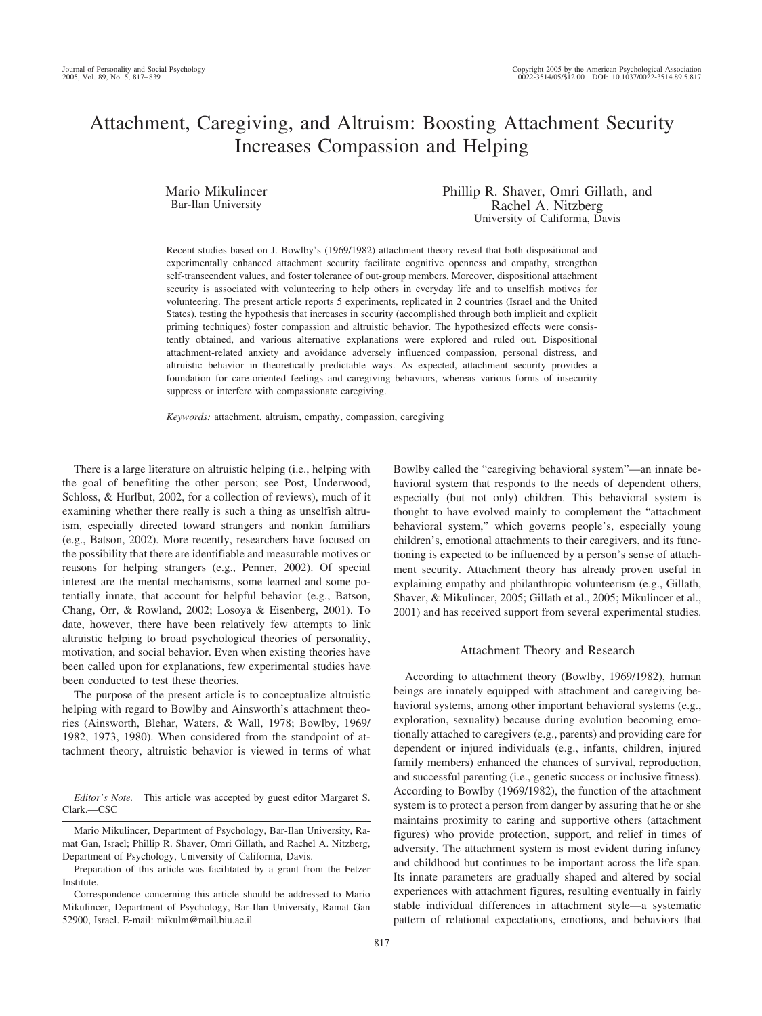# Attachment, Caregiving, and Altruism: Boosting Attachment Security Increases Compassion and Helping

Mario Mikulincer Bar-Ilan University

Phillip R. Shaver, Omri Gillath, and Rachel A. Nitzberg University of California, Davis

Recent studies based on J. Bowlby's (1969/1982) attachment theory reveal that both dispositional and experimentally enhanced attachment security facilitate cognitive openness and empathy, strengthen self-transcendent values, and foster tolerance of out-group members. Moreover, dispositional attachment security is associated with volunteering to help others in everyday life and to unselfish motives for volunteering. The present article reports 5 experiments, replicated in 2 countries (Israel and the United States), testing the hypothesis that increases in security (accomplished through both implicit and explicit priming techniques) foster compassion and altruistic behavior. The hypothesized effects were consistently obtained, and various alternative explanations were explored and ruled out. Dispositional attachment-related anxiety and avoidance adversely influenced compassion, personal distress, and altruistic behavior in theoretically predictable ways. As expected, attachment security provides a foundation for care-oriented feelings and caregiving behaviors, whereas various forms of insecurity suppress or interfere with compassionate caregiving.

*Keywords:* attachment, altruism, empathy, compassion, caregiving

There is a large literature on altruistic helping (i.e., helping with the goal of benefiting the other person; see Post, Underwood, Schloss, & Hurlbut, 2002, for a collection of reviews), much of it examining whether there really is such a thing as unselfish altruism, especially directed toward strangers and nonkin familiars (e.g., Batson, 2002). More recently, researchers have focused on the possibility that there are identifiable and measurable motives or reasons for helping strangers (e.g., Penner, 2002). Of special interest are the mental mechanisms, some learned and some potentially innate, that account for helpful behavior (e.g., Batson, Chang, Orr, & Rowland, 2002; Losoya & Eisenberg, 2001). To date, however, there have been relatively few attempts to link altruistic helping to broad psychological theories of personality, motivation, and social behavior. Even when existing theories have been called upon for explanations, few experimental studies have been conducted to test these theories.

The purpose of the present article is to conceptualize altruistic helping with regard to Bowlby and Ainsworth's attachment theories (Ainsworth, Blehar, Waters, & Wall, 1978; Bowlby, 1969/ 1982, 1973, 1980). When considered from the standpoint of attachment theory, altruistic behavior is viewed in terms of what Bowlby called the "caregiving behavioral system"—an innate behavioral system that responds to the needs of dependent others, especially (but not only) children. This behavioral system is thought to have evolved mainly to complement the "attachment behavioral system," which governs people's, especially young children's, emotional attachments to their caregivers, and its functioning is expected to be influenced by a person's sense of attachment security. Attachment theory has already proven useful in explaining empathy and philanthropic volunteerism (e.g., Gillath, Shaver, & Mikulincer, 2005; Gillath et al., 2005; Mikulincer et al., 2001) and has received support from several experimental studies.

### Attachment Theory and Research

According to attachment theory (Bowlby, 1969/1982), human beings are innately equipped with attachment and caregiving behavioral systems, among other important behavioral systems (e.g., exploration, sexuality) because during evolution becoming emotionally attached to caregivers (e.g., parents) and providing care for dependent or injured individuals (e.g., infants, children, injured family members) enhanced the chances of survival, reproduction, and successful parenting (i.e., genetic success or inclusive fitness). According to Bowlby (1969/1982), the function of the attachment system is to protect a person from danger by assuring that he or she maintains proximity to caring and supportive others (attachment figures) who provide protection, support, and relief in times of adversity. The attachment system is most evident during infancy and childhood but continues to be important across the life span. Its innate parameters are gradually shaped and altered by social experiences with attachment figures, resulting eventually in fairly stable individual differences in attachment style—a systematic pattern of relational expectations, emotions, and behaviors that

*Editor's Note.* This article was accepted by guest editor Margaret S. Clark.—CSC

Mario Mikulincer, Department of Psychology, Bar-Ilan University, Ramat Gan, Israel; Phillip R. Shaver, Omri Gillath, and Rachel A. Nitzberg, Department of Psychology, University of California, Davis.

Preparation of this article was facilitated by a grant from the Fetzer Institute.

Correspondence concerning this article should be addressed to Mario Mikulincer, Department of Psychology, Bar-Ilan University, Ramat Gan 52900, Israel. E-mail: mikulm@mail.biu.ac.il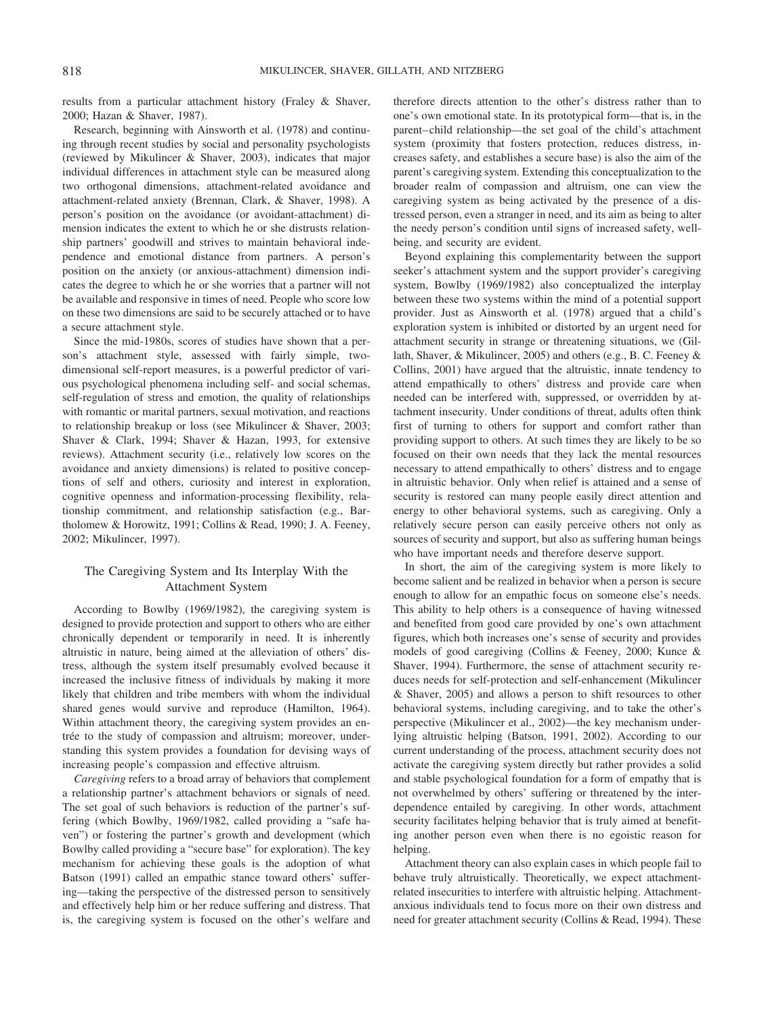results from a particular attachment history (Fraley & Shaver, 2000; Hazan & Shaver, 1987).

Research, beginning with Ainsworth et al. (1978) and continuing through recent studies by social and personality psychologists (reviewed by Mikulincer & Shaver, 2003), indicates that major individual differences in attachment style can be measured along two orthogonal dimensions, attachment-related avoidance and attachment-related anxiety (Brennan, Clark, & Shaver, 1998). A person's position on the avoidance (or avoidant-attachment) dimension indicates the extent to which he or she distrusts relationship partners' goodwill and strives to maintain behavioral independence and emotional distance from partners. A person's position on the anxiety (or anxious-attachment) dimension indicates the degree to which he or she worries that a partner will not be available and responsive in times of need. People who score low on these two dimensions are said to be securely attached or to have a secure attachment style.

Since the mid-1980s, scores of studies have shown that a person's attachment style, assessed with fairly simple, twodimensional self-report measures, is a powerful predictor of various psychological phenomena including self- and social schemas, self-regulation of stress and emotion, the quality of relationships with romantic or marital partners, sexual motivation, and reactions to relationship breakup or loss (see Mikulincer & Shaver, 2003; Shaver & Clark, 1994; Shaver & Hazan, 1993, for extensive reviews). Attachment security (i.e., relatively low scores on the avoidance and anxiety dimensions) is related to positive conceptions of self and others, curiosity and interest in exploration, cognitive openness and information-processing flexibility, relationship commitment, and relationship satisfaction (e.g., Bartholomew & Horowitz, 1991; Collins & Read, 1990; J. A. Feeney, 2002; Mikulincer, 1997).

# The Caregiving System and Its Interplay With the Attachment System

According to Bowlby (1969/1982), the caregiving system is designed to provide protection and support to others who are either chronically dependent or temporarily in need. It is inherently altruistic in nature, being aimed at the alleviation of others' distress, although the system itself presumably evolved because it increased the inclusive fitness of individuals by making it more likely that children and tribe members with whom the individual shared genes would survive and reproduce (Hamilton, 1964). Within attachment theory, the caregiving system provides an entrée to the study of compassion and altruism; moreover, understanding this system provides a foundation for devising ways of increasing people's compassion and effective altruism.

*Caregiving* refers to a broad array of behaviors that complement a relationship partner's attachment behaviors or signals of need. The set goal of such behaviors is reduction of the partner's suffering (which Bowlby, 1969/1982, called providing a "safe haven") or fostering the partner's growth and development (which Bowlby called providing a "secure base" for exploration). The key mechanism for achieving these goals is the adoption of what Batson (1991) called an empathic stance toward others' suffering—taking the perspective of the distressed person to sensitively and effectively help him or her reduce suffering and distress. That is, the caregiving system is focused on the other's welfare and therefore directs attention to the other's distress rather than to one's own emotional state. In its prototypical form—that is, in the parent– child relationship—the set goal of the child's attachment system (proximity that fosters protection, reduces distress, increases safety, and establishes a secure base) is also the aim of the parent's caregiving system. Extending this conceptualization to the broader realm of compassion and altruism, one can view the caregiving system as being activated by the presence of a distressed person, even a stranger in need, and its aim as being to alter the needy person's condition until signs of increased safety, wellbeing, and security are evident.

Beyond explaining this complementarity between the support seeker's attachment system and the support provider's caregiving system, Bowlby (1969/1982) also conceptualized the interplay between these two systems within the mind of a potential support provider. Just as Ainsworth et al. (1978) argued that a child's exploration system is inhibited or distorted by an urgent need for attachment security in strange or threatening situations, we (Gillath, Shaver, & Mikulincer, 2005) and others (e.g., B. C. Feeney & Collins, 2001) have argued that the altruistic, innate tendency to attend empathically to others' distress and provide care when needed can be interfered with, suppressed, or overridden by attachment insecurity. Under conditions of threat, adults often think first of turning to others for support and comfort rather than providing support to others. At such times they are likely to be so focused on their own needs that they lack the mental resources necessary to attend empathically to others' distress and to engage in altruistic behavior. Only when relief is attained and a sense of security is restored can many people easily direct attention and energy to other behavioral systems, such as caregiving. Only a relatively secure person can easily perceive others not only as sources of security and support, but also as suffering human beings who have important needs and therefore deserve support.

In short, the aim of the caregiving system is more likely to become salient and be realized in behavior when a person is secure enough to allow for an empathic focus on someone else's needs. This ability to help others is a consequence of having witnessed and benefited from good care provided by one's own attachment figures, which both increases one's sense of security and provides models of good caregiving (Collins & Feeney, 2000; Kunce & Shaver, 1994). Furthermore, the sense of attachment security reduces needs for self-protection and self-enhancement (Mikulincer & Shaver, 2005) and allows a person to shift resources to other behavioral systems, including caregiving, and to take the other's perspective (Mikulincer et al., 2002)—the key mechanism underlying altruistic helping (Batson, 1991, 2002). According to our current understanding of the process, attachment security does not activate the caregiving system directly but rather provides a solid and stable psychological foundation for a form of empathy that is not overwhelmed by others' suffering or threatened by the interdependence entailed by caregiving. In other words, attachment security facilitates helping behavior that is truly aimed at benefiting another person even when there is no egoistic reason for helping.

Attachment theory can also explain cases in which people fail to behave truly altruistically. Theoretically, we expect attachmentrelated insecurities to interfere with altruistic helping. Attachmentanxious individuals tend to focus more on their own distress and need for greater attachment security (Collins & Read, 1994). These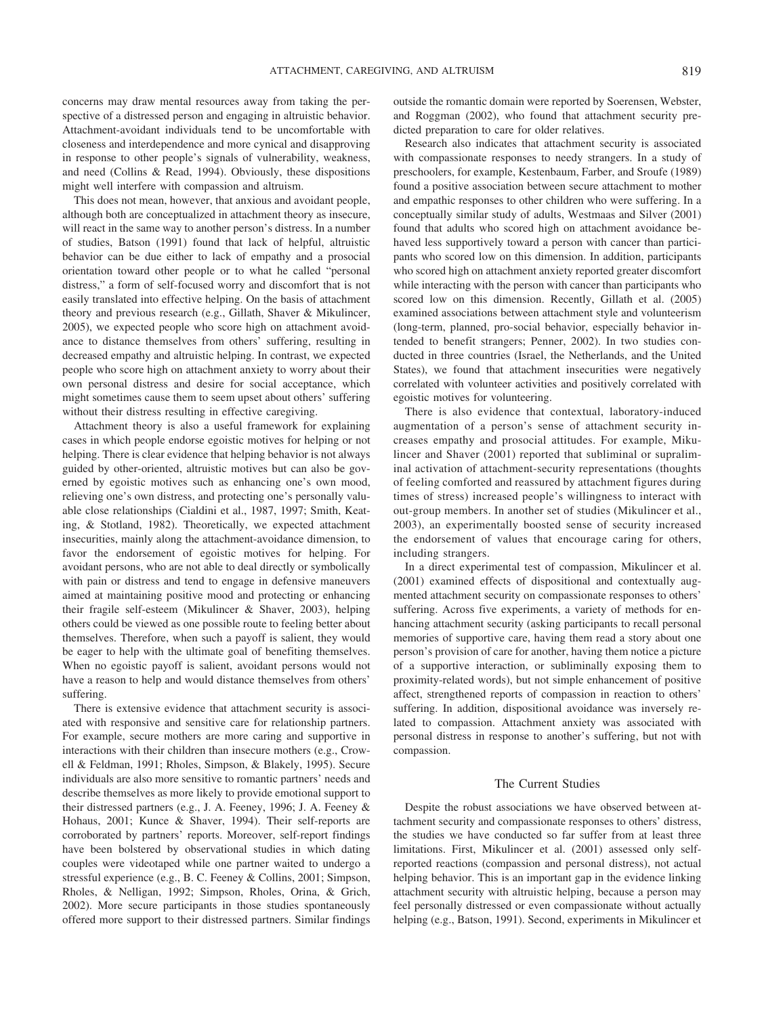concerns may draw mental resources away from taking the perspective of a distressed person and engaging in altruistic behavior. Attachment-avoidant individuals tend to be uncomfortable with closeness and interdependence and more cynical and disapproving in response to other people's signals of vulnerability, weakness, and need (Collins & Read, 1994). Obviously, these dispositions might well interfere with compassion and altruism.

This does not mean, however, that anxious and avoidant people, although both are conceptualized in attachment theory as insecure, will react in the same way to another person's distress. In a number of studies, Batson (1991) found that lack of helpful, altruistic behavior can be due either to lack of empathy and a prosocial orientation toward other people or to what he called "personal distress," a form of self-focused worry and discomfort that is not easily translated into effective helping. On the basis of attachment theory and previous research (e.g., Gillath, Shaver & Mikulincer, 2005), we expected people who score high on attachment avoidance to distance themselves from others' suffering, resulting in decreased empathy and altruistic helping. In contrast, we expected people who score high on attachment anxiety to worry about their own personal distress and desire for social acceptance, which might sometimes cause them to seem upset about others' suffering without their distress resulting in effective caregiving.

Attachment theory is also a useful framework for explaining cases in which people endorse egoistic motives for helping or not helping. There is clear evidence that helping behavior is not always guided by other-oriented, altruistic motives but can also be governed by egoistic motives such as enhancing one's own mood, relieving one's own distress, and protecting one's personally valuable close relationships (Cialdini et al., 1987, 1997; Smith, Keating, & Stotland, 1982). Theoretically, we expected attachment insecurities, mainly along the attachment-avoidance dimension, to favor the endorsement of egoistic motives for helping. For avoidant persons, who are not able to deal directly or symbolically with pain or distress and tend to engage in defensive maneuvers aimed at maintaining positive mood and protecting or enhancing their fragile self-esteem (Mikulincer & Shaver, 2003), helping others could be viewed as one possible route to feeling better about themselves. Therefore, when such a payoff is salient, they would be eager to help with the ultimate goal of benefiting themselves. When no egoistic payoff is salient, avoidant persons would not have a reason to help and would distance themselves from others' suffering.

There is extensive evidence that attachment security is associated with responsive and sensitive care for relationship partners. For example, secure mothers are more caring and supportive in interactions with their children than insecure mothers (e.g., Crowell & Feldman, 1991; Rholes, Simpson, & Blakely, 1995). Secure individuals are also more sensitive to romantic partners' needs and describe themselves as more likely to provide emotional support to their distressed partners (e.g., J. A. Feeney, 1996; J. A. Feeney & Hohaus, 2001; Kunce & Shaver, 1994). Their self-reports are corroborated by partners' reports. Moreover, self-report findings have been bolstered by observational studies in which dating couples were videotaped while one partner waited to undergo a stressful experience (e.g., B. C. Feeney & Collins, 2001; Simpson, Rholes, & Nelligan, 1992; Simpson, Rholes, Orina, & Grich, 2002). More secure participants in those studies spontaneously offered more support to their distressed partners. Similar findings outside the romantic domain were reported by Soerensen, Webster, and Roggman (2002), who found that attachment security predicted preparation to care for older relatives.

Research also indicates that attachment security is associated with compassionate responses to needy strangers. In a study of preschoolers, for example, Kestenbaum, Farber, and Sroufe (1989) found a positive association between secure attachment to mother and empathic responses to other children who were suffering. In a conceptually similar study of adults, Westmaas and Silver (2001) found that adults who scored high on attachment avoidance behaved less supportively toward a person with cancer than participants who scored low on this dimension. In addition, participants who scored high on attachment anxiety reported greater discomfort while interacting with the person with cancer than participants who scored low on this dimension. Recently, Gillath et al. (2005) examined associations between attachment style and volunteerism (long-term, planned, pro-social behavior, especially behavior intended to benefit strangers; Penner, 2002). In two studies conducted in three countries (Israel, the Netherlands, and the United States), we found that attachment insecurities were negatively correlated with volunteer activities and positively correlated with egoistic motives for volunteering.

There is also evidence that contextual, laboratory-induced augmentation of a person's sense of attachment security increases empathy and prosocial attitudes. For example, Mikulincer and Shaver (2001) reported that subliminal or supraliminal activation of attachment-security representations (thoughts of feeling comforted and reassured by attachment figures during times of stress) increased people's willingness to interact with out-group members. In another set of studies (Mikulincer et al., 2003), an experimentally boosted sense of security increased the endorsement of values that encourage caring for others, including strangers.

In a direct experimental test of compassion, Mikulincer et al. (2001) examined effects of dispositional and contextually augmented attachment security on compassionate responses to others' suffering. Across five experiments, a variety of methods for enhancing attachment security (asking participants to recall personal memories of supportive care, having them read a story about one person's provision of care for another, having them notice a picture of a supportive interaction, or subliminally exposing them to proximity-related words), but not simple enhancement of positive affect, strengthened reports of compassion in reaction to others' suffering. In addition, dispositional avoidance was inversely related to compassion. Attachment anxiety was associated with personal distress in response to another's suffering, but not with compassion.

# The Current Studies

Despite the robust associations we have observed between attachment security and compassionate responses to others' distress, the studies we have conducted so far suffer from at least three limitations. First, Mikulincer et al. (2001) assessed only selfreported reactions (compassion and personal distress), not actual helping behavior. This is an important gap in the evidence linking attachment security with altruistic helping, because a person may feel personally distressed or even compassionate without actually helping (e.g., Batson, 1991). Second, experiments in Mikulincer et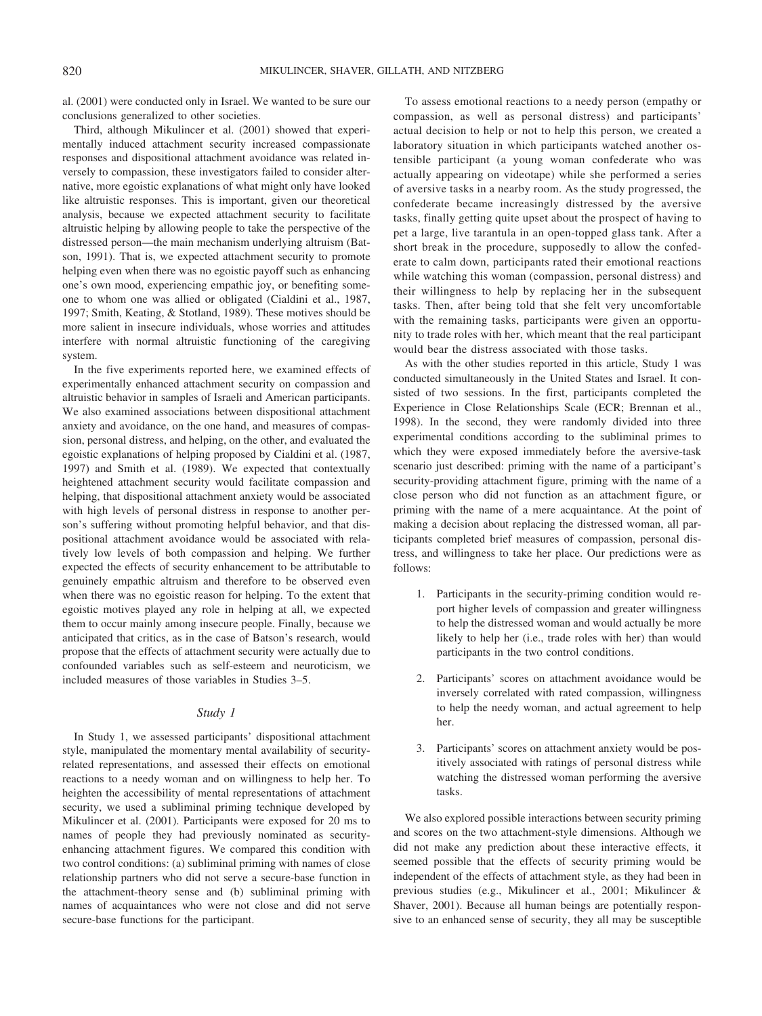al. (2001) were conducted only in Israel. We wanted to be sure our conclusions generalized to other societies.

Third, although Mikulincer et al. (2001) showed that experimentally induced attachment security increased compassionate responses and dispositional attachment avoidance was related inversely to compassion, these investigators failed to consider alternative, more egoistic explanations of what might only have looked like altruistic responses. This is important, given our theoretical analysis, because we expected attachment security to facilitate altruistic helping by allowing people to take the perspective of the distressed person—the main mechanism underlying altruism (Batson, 1991). That is, we expected attachment security to promote helping even when there was no egoistic payoff such as enhancing one's own mood, experiencing empathic joy, or benefiting someone to whom one was allied or obligated (Cialdini et al., 1987, 1997; Smith, Keating, & Stotland, 1989). These motives should be more salient in insecure individuals, whose worries and attitudes interfere with normal altruistic functioning of the caregiving system.

In the five experiments reported here, we examined effects of experimentally enhanced attachment security on compassion and altruistic behavior in samples of Israeli and American participants. We also examined associations between dispositional attachment anxiety and avoidance, on the one hand, and measures of compassion, personal distress, and helping, on the other, and evaluated the egoistic explanations of helping proposed by Cialdini et al. (1987, 1997) and Smith et al. (1989). We expected that contextually heightened attachment security would facilitate compassion and helping, that dispositional attachment anxiety would be associated with high levels of personal distress in response to another person's suffering without promoting helpful behavior, and that dispositional attachment avoidance would be associated with relatively low levels of both compassion and helping. We further expected the effects of security enhancement to be attributable to genuinely empathic altruism and therefore to be observed even when there was no egoistic reason for helping. To the extent that egoistic motives played any role in helping at all, we expected them to occur mainly among insecure people. Finally, because we anticipated that critics, as in the case of Batson's research, would propose that the effects of attachment security were actually due to confounded variables such as self-esteem and neuroticism, we included measures of those variables in Studies 3–5.

# *Study 1*

In Study 1, we assessed participants' dispositional attachment style, manipulated the momentary mental availability of securityrelated representations, and assessed their effects on emotional reactions to a needy woman and on willingness to help her. To heighten the accessibility of mental representations of attachment security, we used a subliminal priming technique developed by Mikulincer et al. (2001). Participants were exposed for 20 ms to names of people they had previously nominated as securityenhancing attachment figures. We compared this condition with two control conditions: (a) subliminal priming with names of close relationship partners who did not serve a secure-base function in the attachment-theory sense and (b) subliminal priming with names of acquaintances who were not close and did not serve secure-base functions for the participant.

To assess emotional reactions to a needy person (empathy or compassion, as well as personal distress) and participants' actual decision to help or not to help this person, we created a laboratory situation in which participants watched another ostensible participant (a young woman confederate who was actually appearing on videotape) while she performed a series of aversive tasks in a nearby room. As the study progressed, the confederate became increasingly distressed by the aversive tasks, finally getting quite upset about the prospect of having to pet a large, live tarantula in an open-topped glass tank. After a short break in the procedure, supposedly to allow the confederate to calm down, participants rated their emotional reactions while watching this woman (compassion, personal distress) and their willingness to help by replacing her in the subsequent tasks. Then, after being told that she felt very uncomfortable with the remaining tasks, participants were given an opportunity to trade roles with her, which meant that the real participant would bear the distress associated with those tasks.

As with the other studies reported in this article, Study 1 was conducted simultaneously in the United States and Israel. It consisted of two sessions. In the first, participants completed the Experience in Close Relationships Scale (ECR; Brennan et al., 1998). In the second, they were randomly divided into three experimental conditions according to the subliminal primes to which they were exposed immediately before the aversive-task scenario just described: priming with the name of a participant's security-providing attachment figure, priming with the name of a close person who did not function as an attachment figure, or priming with the name of a mere acquaintance. At the point of making a decision about replacing the distressed woman, all participants completed brief measures of compassion, personal distress, and willingness to take her place. Our predictions were as follows:

- 1. Participants in the security-priming condition would report higher levels of compassion and greater willingness to help the distressed woman and would actually be more likely to help her (i.e., trade roles with her) than would participants in the two control conditions.
- 2. Participants' scores on attachment avoidance would be inversely correlated with rated compassion, willingness to help the needy woman, and actual agreement to help her.
- 3. Participants' scores on attachment anxiety would be positively associated with ratings of personal distress while watching the distressed woman performing the aversive tasks.

We also explored possible interactions between security priming and scores on the two attachment-style dimensions. Although we did not make any prediction about these interactive effects, it seemed possible that the effects of security priming would be independent of the effects of attachment style, as they had been in previous studies (e.g., Mikulincer et al., 2001; Mikulincer & Shaver, 2001). Because all human beings are potentially responsive to an enhanced sense of security, they all may be susceptible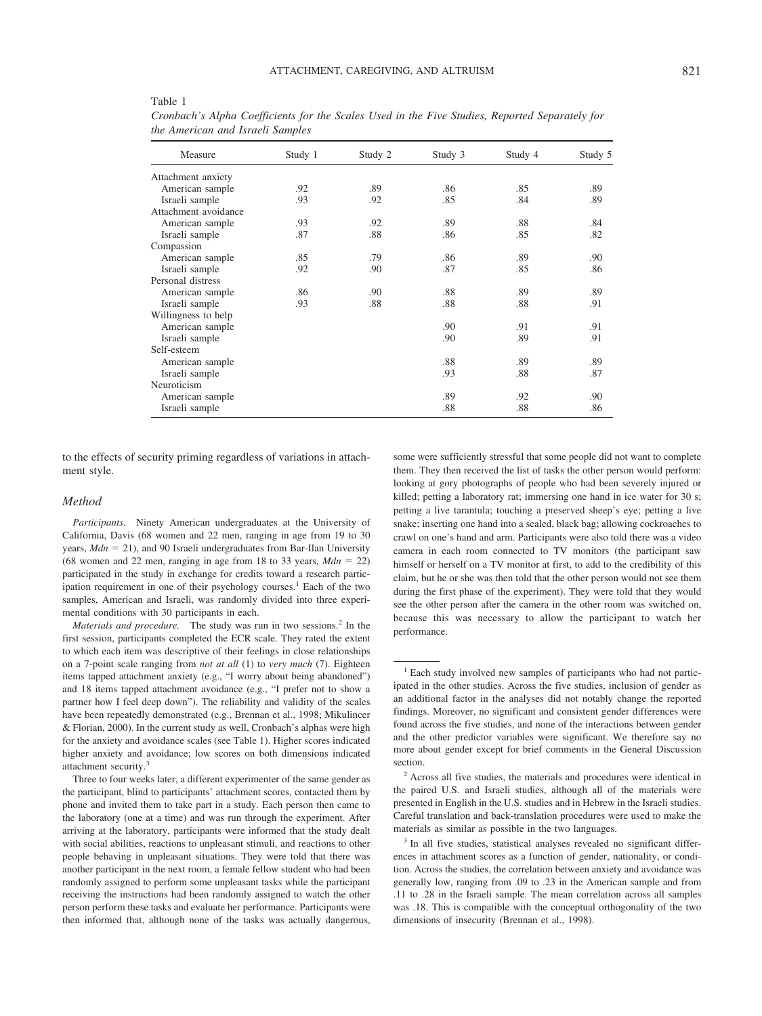| Measure              | Study 1 | Study 2 | Study 3 | Study 4 | Study 5 |
|----------------------|---------|---------|---------|---------|---------|
| Attachment anxiety   |         |         |         |         |         |
| American sample      | .92     | .89     | .86     | .85     | .89     |
| Israeli sample       | .93     | .92     | .85     | .84     | .89     |
| Attachment avoidance |         |         |         |         |         |
| American sample      | .93     | .92     | .89     | .88     | .84     |
| Israeli sample       | .87     | .88     | .86     | .85     | .82     |
| Compassion           |         |         |         |         |         |
| American sample      | .85     | .79     | .86     | .89     | .90     |
| Israeli sample       | .92     | .90     | .87     | .85     | .86     |
| Personal distress    |         |         |         |         |         |
| American sample      | .86     | .90     | .88     | .89     | .89     |
| Israeli sample       | .93     | .88     | .88     | .88     | .91     |
| Willingness to help  |         |         |         |         |         |
| American sample      |         |         | .90     | .91     | .91     |
| Israeli sample       |         |         | .90     | .89     | .91     |
| Self-esteem          |         |         |         |         |         |
| American sample      |         |         | .88     | .89     | .89     |
| Israeli sample       |         |         | .93     | .88     | .87     |
| Neuroticism          |         |         |         |         |         |
| American sample      |         |         | .89     | .92     | .90     |
| Israeli sample       |         |         | .88     | .88     | .86     |

Table 1 *Cronbach's Alpha Coefficients for the Scales Used in the Five Studies, Reported Separately for the American and Israeli Samples*

to the effects of security priming regardless of variations in attachment style.

#### *Method*

*Participants.* Ninety American undergraduates at the University of California, Davis (68 women and 22 men, ranging in age from 19 to 30 years,  $Mdn = 21$ ), and 90 Israeli undergraduates from Bar-Ilan University (68 women and 22 men, ranging in age from 18 to 33 years,  $Mdn = 22$ ) participated in the study in exchange for credits toward a research participation requirement in one of their psychology courses.<sup>1</sup> Each of the two samples, American and Israeli, was randomly divided into three experimental conditions with 30 participants in each.

*Materials and procedure.* The study was run in two sessions.<sup>2</sup> In the first session, participants completed the ECR scale. They rated the extent to which each item was descriptive of their feelings in close relationships on a 7-point scale ranging from *not at all* (1) to *very much* (7). Eighteen items tapped attachment anxiety (e.g., "I worry about being abandoned") and 18 items tapped attachment avoidance (e.g., "I prefer not to show a partner how I feel deep down"). The reliability and validity of the scales have been repeatedly demonstrated (e.g., Brennan et al., 1998; Mikulincer & Florian, 2000). In the current study as well, Cronbach's alphas were high for the anxiety and avoidance scales (see Table 1). Higher scores indicated higher anxiety and avoidance; low scores on both dimensions indicated attachment security.3

Three to four weeks later, a different experimenter of the same gender as the participant, blind to participants' attachment scores, contacted them by phone and invited them to take part in a study. Each person then came to the laboratory (one at a time) and was run through the experiment. After arriving at the laboratory, participants were informed that the study dealt with social abilities, reactions to unpleasant stimuli, and reactions to other people behaving in unpleasant situations. They were told that there was another participant in the next room, a female fellow student who had been randomly assigned to perform some unpleasant tasks while the participant receiving the instructions had been randomly assigned to watch the other person perform these tasks and evaluate her performance. Participants were then informed that, although none of the tasks was actually dangerous,

some were sufficiently stressful that some people did not want to complete them. They then received the list of tasks the other person would perform: looking at gory photographs of people who had been severely injured or killed; petting a laboratory rat; immersing one hand in ice water for 30 s; petting a live tarantula; touching a preserved sheep's eye; petting a live snake; inserting one hand into a sealed, black bag; allowing cockroaches to crawl on one's hand and arm. Participants were also told there was a video camera in each room connected to TV monitors (the participant saw himself or herself on a TV monitor at first, to add to the credibility of this claim, but he or she was then told that the other person would not see them during the first phase of the experiment). They were told that they would see the other person after the camera in the other room was switched on, because this was necessary to allow the participant to watch her performance.

<sup>&</sup>lt;sup>1</sup> Each study involved new samples of participants who had not participated in the other studies. Across the five studies, inclusion of gender as an additional factor in the analyses did not notably change the reported findings. Moreover, no significant and consistent gender differences were found across the five studies, and none of the interactions between gender and the other predictor variables were significant. We therefore say no more about gender except for brief comments in the General Discussion section.

<sup>2</sup> Across all five studies, the materials and procedures were identical in the paired U.S. and Israeli studies, although all of the materials were presented in English in the U.S. studies and in Hebrew in the Israeli studies. Careful translation and back-translation procedures were used to make the materials as similar as possible in the two languages.

<sup>&</sup>lt;sup>3</sup> In all five studies, statistical analyses revealed no significant differences in attachment scores as a function of gender, nationality, or condition. Across the studies, the correlation between anxiety and avoidance was generally low, ranging from .09 to .23 in the American sample and from .11 to .28 in the Israeli sample. The mean correlation across all samples was .18. This is compatible with the conceptual orthogonality of the two dimensions of insecurity (Brennan et al., 1998).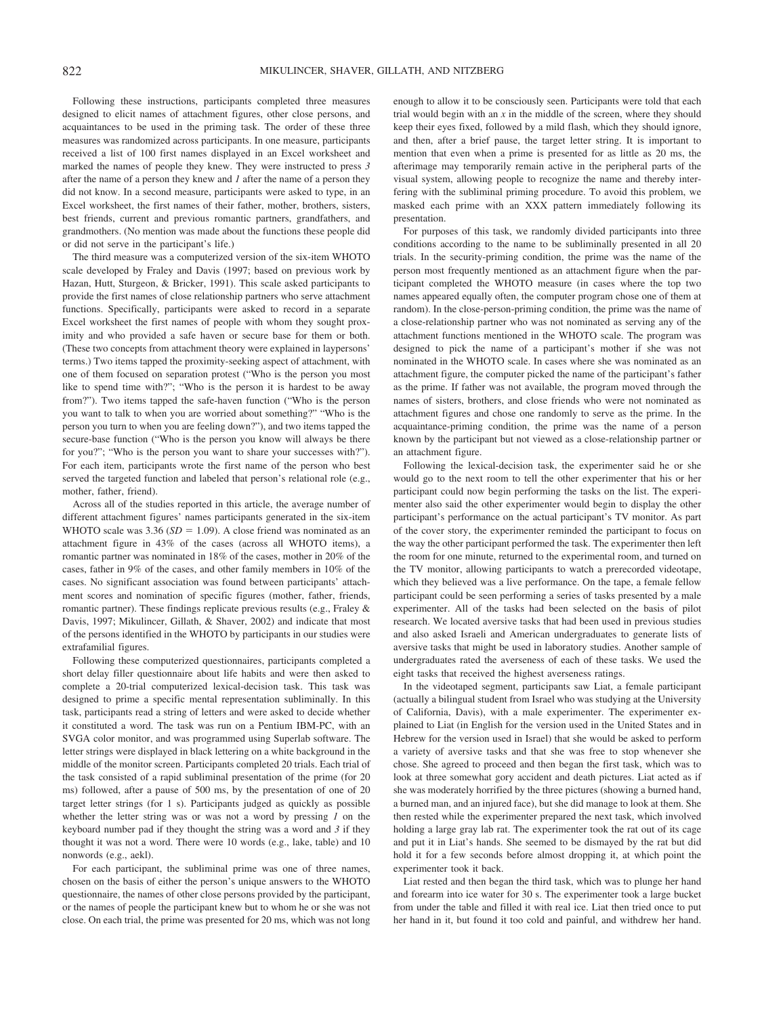Following these instructions, participants completed three measures designed to elicit names of attachment figures, other close persons, and acquaintances to be used in the priming task. The order of these three measures was randomized across participants. In one measure, participants received a list of 100 first names displayed in an Excel worksheet and marked the names of people they knew. They were instructed to press *3* after the name of a person they knew and *1* after the name of a person they did not know. In a second measure, participants were asked to type, in an Excel worksheet, the first names of their father, mother, brothers, sisters, best friends, current and previous romantic partners, grandfathers, and grandmothers. (No mention was made about the functions these people did or did not serve in the participant's life.)

The third measure was a computerized version of the six-item WHOTO scale developed by Fraley and Davis (1997; based on previous work by Hazan, Hutt, Sturgeon, & Bricker, 1991). This scale asked participants to provide the first names of close relationship partners who serve attachment functions. Specifically, participants were asked to record in a separate Excel worksheet the first names of people with whom they sought proximity and who provided a safe haven or secure base for them or both. (These two concepts from attachment theory were explained in laypersons' terms.) Two items tapped the proximity-seeking aspect of attachment, with one of them focused on separation protest ("Who is the person you most like to spend time with?"; "Who is the person it is hardest to be away from?"). Two items tapped the safe-haven function ("Who is the person you want to talk to when you are worried about something?" "Who is the person you turn to when you are feeling down?"), and two items tapped the secure-base function ("Who is the person you know will always be there for you?"; "Who is the person you want to share your successes with?"). For each item, participants wrote the first name of the person who best served the targeted function and labeled that person's relational role (e.g., mother, father, friend).

Across all of the studies reported in this article, the average number of different attachment figures' names participants generated in the six-item WHOTO scale was  $3.36$  ( $SD = 1.09$ ). A close friend was nominated as an attachment figure in 43% of the cases (across all WHOTO items), a romantic partner was nominated in 18% of the cases, mother in 20% of the cases, father in 9% of the cases, and other family members in 10% of the cases. No significant association was found between participants' attachment scores and nomination of specific figures (mother, father, friends, romantic partner). These findings replicate previous results (e.g., Fraley & Davis, 1997; Mikulincer, Gillath, & Shaver, 2002) and indicate that most of the persons identified in the WHOTO by participants in our studies were extrafamilial figures.

Following these computerized questionnaires, participants completed a short delay filler questionnaire about life habits and were then asked to complete a 20-trial computerized lexical-decision task. This task was designed to prime a specific mental representation subliminally. In this task, participants read a string of letters and were asked to decide whether it constituted a word. The task was run on a Pentium IBM-PC, with an SVGA color monitor, and was programmed using Superlab software. The letter strings were displayed in black lettering on a white background in the middle of the monitor screen. Participants completed 20 trials. Each trial of the task consisted of a rapid subliminal presentation of the prime (for 20 ms) followed, after a pause of 500 ms, by the presentation of one of 20 target letter strings (for 1 s). Participants judged as quickly as possible whether the letter string was or was not a word by pressing *1* on the keyboard number pad if they thought the string was a word and *3* if they thought it was not a word. There were 10 words (e.g., lake, table) and 10 nonwords (e.g., aekl).

For each participant, the subliminal prime was one of three names, chosen on the basis of either the person's unique answers to the WHOTO questionnaire, the names of other close persons provided by the participant, or the names of people the participant knew but to whom he or she was not close. On each trial, the prime was presented for 20 ms, which was not long enough to allow it to be consciously seen. Participants were told that each trial would begin with an  $x$  in the middle of the screen, where they should keep their eyes fixed, followed by a mild flash, which they should ignore, and then, after a brief pause, the target letter string. It is important to mention that even when a prime is presented for as little as 20 ms, the afterimage may temporarily remain active in the peripheral parts of the visual system, allowing people to recognize the name and thereby interfering with the subliminal priming procedure. To avoid this problem, we masked each prime with an XXX pattern immediately following its presentation.

For purposes of this task, we randomly divided participants into three conditions according to the name to be subliminally presented in all 20 trials. In the security-priming condition, the prime was the name of the person most frequently mentioned as an attachment figure when the participant completed the WHOTO measure (in cases where the top two names appeared equally often, the computer program chose one of them at random). In the close-person-priming condition, the prime was the name of a close-relationship partner who was not nominated as serving any of the attachment functions mentioned in the WHOTO scale. The program was designed to pick the name of a participant's mother if she was not nominated in the WHOTO scale. In cases where she was nominated as an attachment figure, the computer picked the name of the participant's father as the prime. If father was not available, the program moved through the names of sisters, brothers, and close friends who were not nominated as attachment figures and chose one randomly to serve as the prime. In the acquaintance-priming condition, the prime was the name of a person known by the participant but not viewed as a close-relationship partner or an attachment figure.

Following the lexical-decision task, the experimenter said he or she would go to the next room to tell the other experimenter that his or her participant could now begin performing the tasks on the list. The experimenter also said the other experimenter would begin to display the other participant's performance on the actual participant's TV monitor. As part of the cover story, the experimenter reminded the participant to focus on the way the other participant performed the task. The experimenter then left the room for one minute, returned to the experimental room, and turned on the TV monitor, allowing participants to watch a prerecorded videotape, which they believed was a live performance. On the tape, a female fellow participant could be seen performing a series of tasks presented by a male experimenter. All of the tasks had been selected on the basis of pilot research. We located aversive tasks that had been used in previous studies and also asked Israeli and American undergraduates to generate lists of aversive tasks that might be used in laboratory studies. Another sample of undergraduates rated the averseness of each of these tasks. We used the eight tasks that received the highest averseness ratings.

In the videotaped segment, participants saw Liat, a female participant (actually a bilingual student from Israel who was studying at the University of California, Davis), with a male experimenter. The experimenter explained to Liat (in English for the version used in the United States and in Hebrew for the version used in Israel) that she would be asked to perform a variety of aversive tasks and that she was free to stop whenever she chose. She agreed to proceed and then began the first task, which was to look at three somewhat gory accident and death pictures. Liat acted as if she was moderately horrified by the three pictures (showing a burned hand, a burned man, and an injured face), but she did manage to look at them. She then rested while the experimenter prepared the next task, which involved holding a large gray lab rat. The experimenter took the rat out of its cage and put it in Liat's hands. She seemed to be dismayed by the rat but did hold it for a few seconds before almost dropping it, at which point the experimenter took it back.

Liat rested and then began the third task, which was to plunge her hand and forearm into ice water for 30 s. The experimenter took a large bucket from under the table and filled it with real ice. Liat then tried once to put her hand in it, but found it too cold and painful, and withdrew her hand.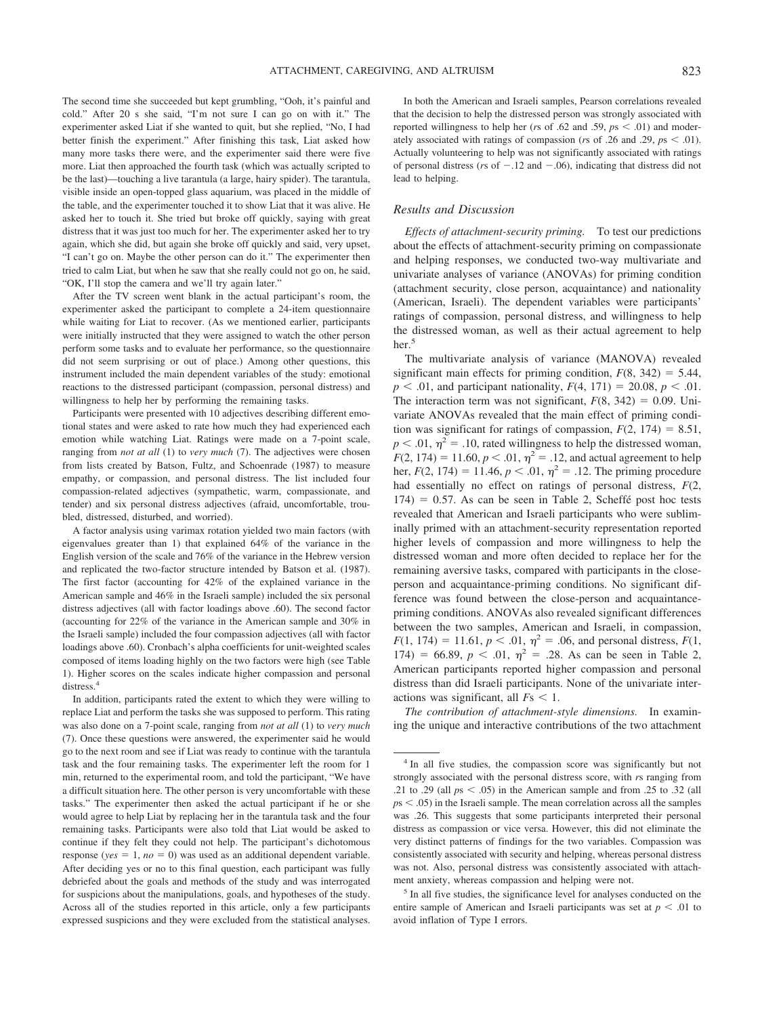The second time she succeeded but kept grumbling, "Ooh, it's painful and cold." After 20 s she said, "I'm not sure I can go on with it." The experimenter asked Liat if she wanted to quit, but she replied, "No, I had better finish the experiment." After finishing this task, Liat asked how many more tasks there were, and the experimenter said there were five more. Liat then approached the fourth task (which was actually scripted to be the last)—touching a live tarantula (a large, hairy spider). The tarantula, visible inside an open-topped glass aquarium, was placed in the middle of the table, and the experimenter touched it to show Liat that it was alive. He asked her to touch it. She tried but broke off quickly, saying with great distress that it was just too much for her. The experimenter asked her to try again, which she did, but again she broke off quickly and said, very upset, "I can't go on. Maybe the other person can do it." The experimenter then tried to calm Liat, but when he saw that she really could not go on, he said, "OK, I'll stop the camera and we'll try again later."

After the TV screen went blank in the actual participant's room, the experimenter asked the participant to complete a 24-item questionnaire while waiting for Liat to recover. (As we mentioned earlier, participants were initially instructed that they were assigned to watch the other person perform some tasks and to evaluate her performance, so the questionnaire did not seem surprising or out of place.) Among other questions, this instrument included the main dependent variables of the study: emotional reactions to the distressed participant (compassion, personal distress) and willingness to help her by performing the remaining tasks.

Participants were presented with 10 adjectives describing different emotional states and were asked to rate how much they had experienced each emotion while watching Liat. Ratings were made on a 7-point scale, ranging from *not at all* (1) to *very much* (7). The adjectives were chosen from lists created by Batson, Fultz, and Schoenrade (1987) to measure empathy, or compassion, and personal distress. The list included four compassion-related adjectives (sympathetic, warm, compassionate, and tender) and six personal distress adjectives (afraid, uncomfortable, troubled, distressed, disturbed, and worried).

A factor analysis using varimax rotation yielded two main factors (with eigenvalues greater than 1) that explained 64% of the variance in the English version of the scale and 76% of the variance in the Hebrew version and replicated the two-factor structure intended by Batson et al. (1987). The first factor (accounting for 42% of the explained variance in the American sample and 46% in the Israeli sample) included the six personal distress adjectives (all with factor loadings above .60). The second factor (accounting for 22% of the variance in the American sample and 30% in the Israeli sample) included the four compassion adjectives (all with factor loadings above .60). Cronbach's alpha coefficients for unit-weighted scales composed of items loading highly on the two factors were high (see Table 1). Higher scores on the scales indicate higher compassion and personal distress.4

In addition, participants rated the extent to which they were willing to replace Liat and perform the tasks she was supposed to perform. This rating was also done on a 7-point scale, ranging from *not at all* (1) to *very much* (7). Once these questions were answered, the experimenter said he would go to the next room and see if Liat was ready to continue with the tarantula task and the four remaining tasks. The experimenter left the room for 1 min, returned to the experimental room, and told the participant, "We have a difficult situation here. The other person is very uncomfortable with these tasks." The experimenter then asked the actual participant if he or she would agree to help Liat by replacing her in the tarantula task and the four remaining tasks. Participants were also told that Liat would be asked to continue if they felt they could not help. The participant's dichotomous response ( $yes = 1$ ,  $no = 0$ ) was used as an additional dependent variable. After deciding yes or no to this final question, each participant was fully debriefed about the goals and methods of the study and was interrogated for suspicions about the manipulations, goals, and hypotheses of the study. Across all of the studies reported in this article, only a few participants expressed suspicions and they were excluded from the statistical analyses.

In both the American and Israeli samples, Pearson correlations revealed that the decision to help the distressed person was strongly associated with reported willingness to help her ( $rs$  of .62 and .59,  $ps < .01$ ) and moderately associated with ratings of compassion ( $r s$  of .26 and .29,  $p s < .01$ ). Actually volunteering to help was not significantly associated with ratings of personal distress ( $rs$  of  $-.12$  and  $-.06$ ), indicating that distress did not lead to helping.

# *Results and Discussion*

*Effects of attachment-security priming.* To test our predictions about the effects of attachment-security priming on compassionate and helping responses, we conducted two-way multivariate and univariate analyses of variance (ANOVAs) for priming condition (attachment security, close person, acquaintance) and nationality (American, Israeli). The dependent variables were participants' ratings of compassion, personal distress, and willingness to help the distressed woman, as well as their actual agreement to help her.<sup>5</sup>

The multivariate analysis of variance (MANOVA) revealed significant main effects for priming condition,  $F(8, 342) = 5.44$ ,  $p < .01$ , and participant nationality,  $F(4, 171) = 20.08$ ,  $p < .01$ . The interaction term was not significant,  $F(8, 342) = 0.09$ . Univariate ANOVAs revealed that the main effect of priming condition was significant for ratings of compassion,  $F(2, 174) = 8.51$ ,  $p < .01$ ,  $\eta^2 = .10$ , rated willingness to help the distressed woman,  $F(2, 174) = 11.60, p < .01, \eta^2 = .12$ , and actual agreement to help her,  $F(2, 174) = 11.46$ ,  $p < .01$ ,  $\eta^2 = .12$ . The priming procedure had essentially no effect on ratings of personal distress, *F*(2,  $174$ ) = 0.57. As can be seen in Table 2, Scheffé post hoc tests revealed that American and Israeli participants who were subliminally primed with an attachment-security representation reported higher levels of compassion and more willingness to help the distressed woman and more often decided to replace her for the remaining aversive tasks, compared with participants in the closeperson and acquaintance-priming conditions. No significant difference was found between the close-person and acquaintancepriming conditions. ANOVAs also revealed significant differences between the two samples, American and Israeli, in compassion,  $F(1, 174) = 11.61, p < .01, \eta^2 = .06$ , and personal distress,  $F(1, \eta^2) = 11.61, p < .01$ 174) = 66.89,  $p < .01$ ,  $\eta^2 = .28$ . As can be seen in Table 2, American participants reported higher compassion and personal distress than did Israeli participants. None of the univariate interactions was significant, all  $Fs < 1$ .

*The contribution of attachment-style dimensions.* In examining the unique and interactive contributions of the two attachment

<sup>&</sup>lt;sup>4</sup> In all five studies, the compassion score was significantly but not strongly associated with the personal distress score, with *r*s ranging from .21 to .29 (all  $ps < .05$ ) in the American sample and from .25 to .32 (all  $p<sub>5</sub>$   $<$  .05) in the Israeli sample. The mean correlation across all the samples was .26. This suggests that some participants interpreted their personal distress as compassion or vice versa. However, this did not eliminate the very distinct patterns of findings for the two variables. Compassion was consistently associated with security and helping, whereas personal distress was not. Also, personal distress was consistently associated with attachment anxiety, whereas compassion and helping were not.

<sup>&</sup>lt;sup>5</sup> In all five studies, the significance level for analyses conducted on the entire sample of American and Israeli participants was set at  $p < .01$  to avoid inflation of Type I errors.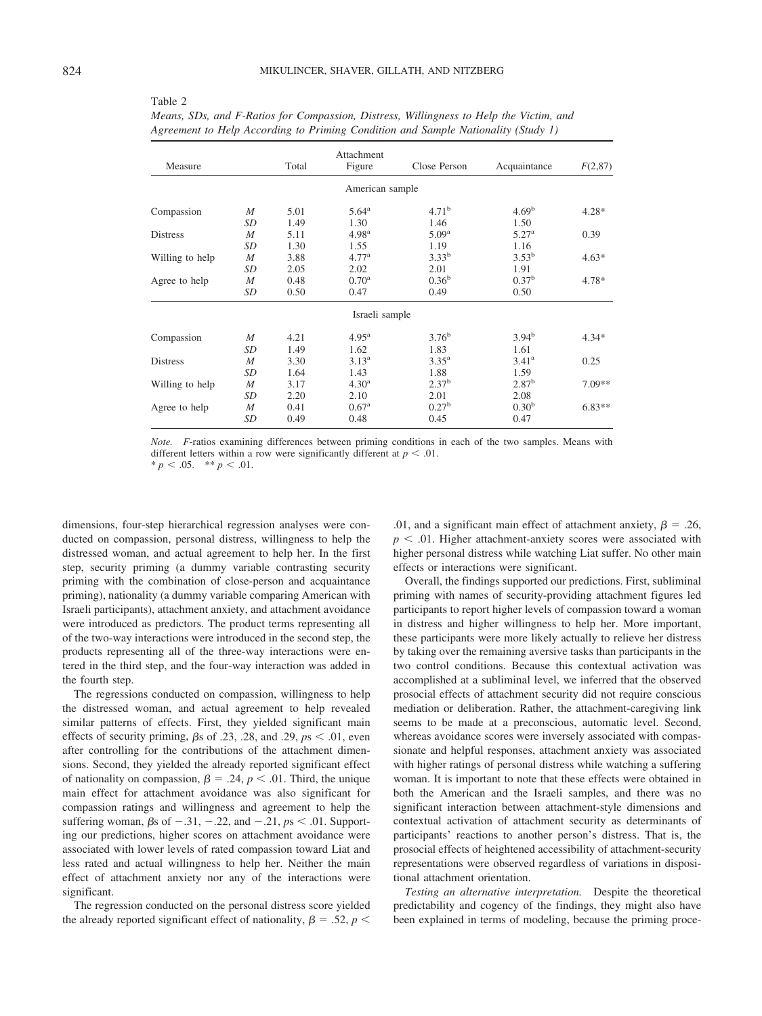#### Table 2

*Means, SDs, and F-Ratios for Compassion, Distress, Willingness to Help the Victim, and Agreement to Help According to Priming Condition and Sample Nationality (Study 1)*

| Measure         |         | Total        | Attachment<br>Figure      | Close Person              | Acquaintance              | F(2,87)  |
|-----------------|---------|--------------|---------------------------|---------------------------|---------------------------|----------|
|                 |         |              | American sample           |                           |                           |          |
| Compassion      | M<br>SD | 5.01<br>1.49 | $5.64^{\rm a}$<br>1.30    | 4.71 <sup>b</sup><br>1.46 | 4.69 <sup>b</sup><br>1.50 | $4.28*$  |
| <b>Distress</b> | M<br>SD | 5.11<br>1.30 | 4.98 <sup>a</sup><br>1.55 | 5.09 <sup>a</sup><br>1.19 | $5.27^{\rm a}$<br>1.16    | 0.39     |
| Willing to help | M<br>SD | 3.88<br>2.05 | 4.77 <sup>a</sup><br>2.02 | $3.33^{b}$<br>2.01        | $3.53^{b}$<br>1.91        | $4.63*$  |
| Agree to help   | M<br>SD | 0.48<br>0.50 | $0.70^{\rm a}$<br>0.47    | $0.36^{b}$<br>0.49        | 0.37 <sup>b</sup><br>0.50 | 4.78*    |
|                 |         |              | Israeli sample            |                           |                           |          |
| Compassion      | M<br>SD | 4.21<br>1.49 | $4.95^{\rm a}$<br>1.62    | $3.76^{b}$<br>1.83        | $3.94^{b}$<br>1.61        | $4.34*$  |
| <b>Distress</b> | M<br>SD | 3.30<br>1.64 | $3.13^{a}$<br>1.43        | $3.35^{a}$<br>1.88        | $3.41^{\rm a}$<br>1.59    | 0.25     |
| Willing to help | M<br>SD | 3.17<br>2.20 | 4.30 <sup>a</sup><br>2.10 | 2.37 <sup>b</sup><br>2.01 | 2.87 <sup>b</sup><br>2.08 | $7.09**$ |
| Agree to help   | M<br>SD | 0.41<br>0.49 | 0.67 <sup>a</sup><br>0.48 | 0.27 <sup>b</sup><br>0.45 | 0.30 <sup>b</sup><br>0.47 | $6.83**$ |

*Note. F*-ratios examining differences between priming conditions in each of the two samples. Means with different letters within a row were significantly different at  $p < .01$ .

 $* p < .05.$  \*\*  $p < .01.$ 

dimensions, four-step hierarchical regression analyses were conducted on compassion, personal distress, willingness to help the distressed woman, and actual agreement to help her. In the first step, security priming (a dummy variable contrasting security priming with the combination of close-person and acquaintance priming), nationality (a dummy variable comparing American with Israeli participants), attachment anxiety, and attachment avoidance were introduced as predictors. The product terms representing all of the two-way interactions were introduced in the second step, the products representing all of the three-way interactions were entered in the third step, and the four-way interaction was added in the fourth step.

The regressions conducted on compassion, willingness to help the distressed woman, and actual agreement to help revealed similar patterns of effects. First, they yielded significant main effects of security priming,  $\beta$ s of .23, .28, and .29,  $p s < .01$ , even after controlling for the contributions of the attachment dimensions. Second, they yielded the already reported significant effect of nationality on compassion,  $\beta = .24$ ,  $p < .01$ . Third, the unique main effect for attachment avoidance was also significant for compassion ratings and willingness and agreement to help the suffering woman,  $\beta$ s of  $-.31, -.22,$  and  $-.21, ps < .01$ . Supporting our predictions, higher scores on attachment avoidance were associated with lower levels of rated compassion toward Liat and less rated and actual willingness to help her. Neither the main effect of attachment anxiety nor any of the interactions were significant.

The regression conducted on the personal distress score yielded the already reported significant effect of nationality,  $\beta = .52$ ,  $p <$ 

.01, and a significant main effect of attachment anxiety,  $\beta = .26$ ,  $p < .01$ . Higher attachment-anxiety scores were associated with higher personal distress while watching Liat suffer. No other main effects or interactions were significant.

Overall, the findings supported our predictions. First, subliminal priming with names of security-providing attachment figures led participants to report higher levels of compassion toward a woman in distress and higher willingness to help her. More important, these participants were more likely actually to relieve her distress by taking over the remaining aversive tasks than participants in the two control conditions. Because this contextual activation was accomplished at a subliminal level, we inferred that the observed prosocial effects of attachment security did not require conscious mediation or deliberation. Rather, the attachment-caregiving link seems to be made at a preconscious, automatic level. Second, whereas avoidance scores were inversely associated with compassionate and helpful responses, attachment anxiety was associated with higher ratings of personal distress while watching a suffering woman. It is important to note that these effects were obtained in both the American and the Israeli samples, and there was no significant interaction between attachment-style dimensions and contextual activation of attachment security as determinants of participants' reactions to another person's distress. That is, the prosocial effects of heightened accessibility of attachment-security representations were observed regardless of variations in dispositional attachment orientation.

*Testing an alternative interpretation.* Despite the theoretical predictability and cogency of the findings, they might also have been explained in terms of modeling, because the priming proce-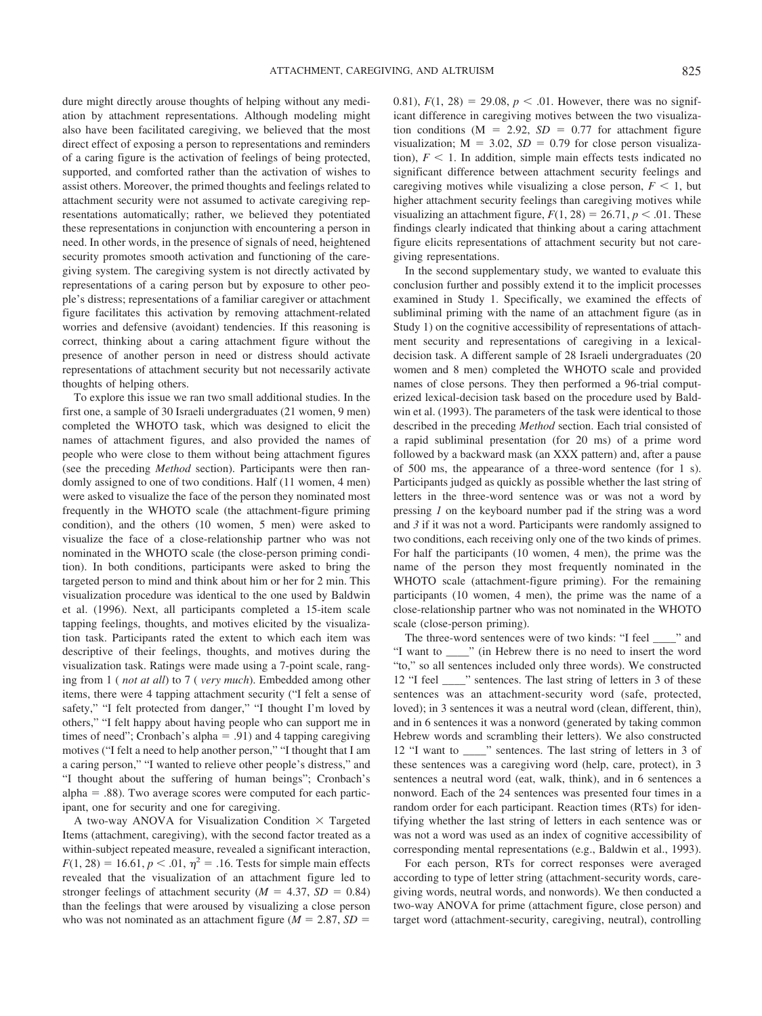dure might directly arouse thoughts of helping without any mediation by attachment representations. Although modeling might also have been facilitated caregiving, we believed that the most direct effect of exposing a person to representations and reminders of a caring figure is the activation of feelings of being protected, supported, and comforted rather than the activation of wishes to assist others. Moreover, the primed thoughts and feelings related to attachment security were not assumed to activate caregiving representations automatically; rather, we believed they potentiated these representations in conjunction with encountering a person in need. In other words, in the presence of signals of need, heightened security promotes smooth activation and functioning of the caregiving system. The caregiving system is not directly activated by representations of a caring person but by exposure to other people's distress; representations of a familiar caregiver or attachment figure facilitates this activation by removing attachment-related worries and defensive (avoidant) tendencies. If this reasoning is correct, thinking about a caring attachment figure without the presence of another person in need or distress should activate representations of attachment security but not necessarily activate thoughts of helping others.

To explore this issue we ran two small additional studies. In the first one, a sample of 30 Israeli undergraduates (21 women, 9 men) completed the WHOTO task, which was designed to elicit the names of attachment figures, and also provided the names of people who were close to them without being attachment figures (see the preceding *Method* section). Participants were then randomly assigned to one of two conditions. Half (11 women, 4 men) were asked to visualize the face of the person they nominated most frequently in the WHOTO scale (the attachment-figure priming condition), and the others (10 women, 5 men) were asked to visualize the face of a close-relationship partner who was not nominated in the WHOTO scale (the close-person priming condition). In both conditions, participants were asked to bring the targeted person to mind and think about him or her for 2 min. This visualization procedure was identical to the one used by Baldwin et al. (1996). Next, all participants completed a 15-item scale tapping feelings, thoughts, and motives elicited by the visualization task. Participants rated the extent to which each item was descriptive of their feelings, thoughts, and motives during the visualization task. Ratings were made using a 7-point scale, ranging from 1 ( *not at all*) to 7 ( *very much*). Embedded among other items, there were 4 tapping attachment security ("I felt a sense of safety," "I felt protected from danger," "I thought I'm loved by others," "I felt happy about having people who can support me in times of need"; Cronbach's alpha  $= .91$ ) and 4 tapping caregiving motives ("I felt a need to help another person," "I thought that I am a caring person," "I wanted to relieve other people's distress," and "I thought about the suffering of human beings"; Cronbach's alpha  $=$  .88). Two average scores were computed for each participant, one for security and one for caregiving.

A two-way ANOVA for Visualization Condition  $\times$  Targeted Items (attachment, caregiving), with the second factor treated as a within-subject repeated measure, revealed a significant interaction,  $F(1, 28) = 16.61, p < .01, \eta^2 = .16$ . Tests for simple main effects revealed that the visualization of an attachment figure led to stronger feelings of attachment security ( $M = 4.37$ ,  $SD = 0.84$ ) than the feelings that were aroused by visualizing a close person who was not nominated as an attachment figure ( $M = 2.87$ ,  $SD =$ 

0.81),  $F(1, 28) = 29.08$ ,  $p < .01$ . However, there was no significant difference in caregiving motives between the two visualization conditions  $(M = 2.92, SD = 0.77$  for attachment figure visualization;  $M = 3.02$ ,  $SD = 0.79$  for close person visualization),  $F \leq 1$ . In addition, simple main effects tests indicated no significant difference between attachment security feelings and caregiving motives while visualizing a close person,  $F < 1$ , but higher attachment security feelings than caregiving motives while visualizing an attachment figure,  $F(1, 28) = 26.71$ ,  $p < .01$ . These findings clearly indicated that thinking about a caring attachment figure elicits representations of attachment security but not caregiving representations.

In the second supplementary study, we wanted to evaluate this conclusion further and possibly extend it to the implicit processes examined in Study 1. Specifically, we examined the effects of subliminal priming with the name of an attachment figure (as in Study 1) on the cognitive accessibility of representations of attachment security and representations of caregiving in a lexicaldecision task. A different sample of 28 Israeli undergraduates (20 women and 8 men) completed the WHOTO scale and provided names of close persons. They then performed a 96-trial computerized lexical-decision task based on the procedure used by Baldwin et al. (1993). The parameters of the task were identical to those described in the preceding *Method* section. Each trial consisted of a rapid subliminal presentation (for 20 ms) of a prime word followed by a backward mask (an XXX pattern) and, after a pause of 500 ms, the appearance of a three-word sentence (for 1 s). Participants judged as quickly as possible whether the last string of letters in the three-word sentence was or was not a word by pressing *1* on the keyboard number pad if the string was a word and *3* if it was not a word. Participants were randomly assigned to two conditions, each receiving only one of the two kinds of primes. For half the participants (10 women, 4 men), the prime was the name of the person they most frequently nominated in the WHOTO scale (attachment-figure priming). For the remaining participants (10 women, 4 men), the prime was the name of a close-relationship partner who was not nominated in the WHOTO scale (close-person priming).

The three-word sentences were of two kinds: "I feel \_\_\_\_" and "I want to \_\_\_\_" (in Hebrew there is no need to insert the word "to," so all sentences included only three words). We constructed 12 "I feel \_\_\_\_\_\_" sentences. The last string of letters in 3 of these sentences was an attachment-security word (safe, protected, loved); in 3 sentences it was a neutral word (clean, different, thin), and in 6 sentences it was a nonword (generated by taking common Hebrew words and scrambling their letters). We also constructed 12 "I want to \_\_\_\_" sentences. The last string of letters in 3 of these sentences was a caregiving word (help, care, protect), in 3 sentences a neutral word (eat, walk, think), and in 6 sentences a nonword. Each of the 24 sentences was presented four times in a random order for each participant. Reaction times (RTs) for identifying whether the last string of letters in each sentence was or was not a word was used as an index of cognitive accessibility of corresponding mental representations (e.g., Baldwin et al., 1993).

For each person, RTs for correct responses were averaged according to type of letter string (attachment-security words, caregiving words, neutral words, and nonwords). We then conducted a two-way ANOVA for prime (attachment figure, close person) and target word (attachment-security, caregiving, neutral), controlling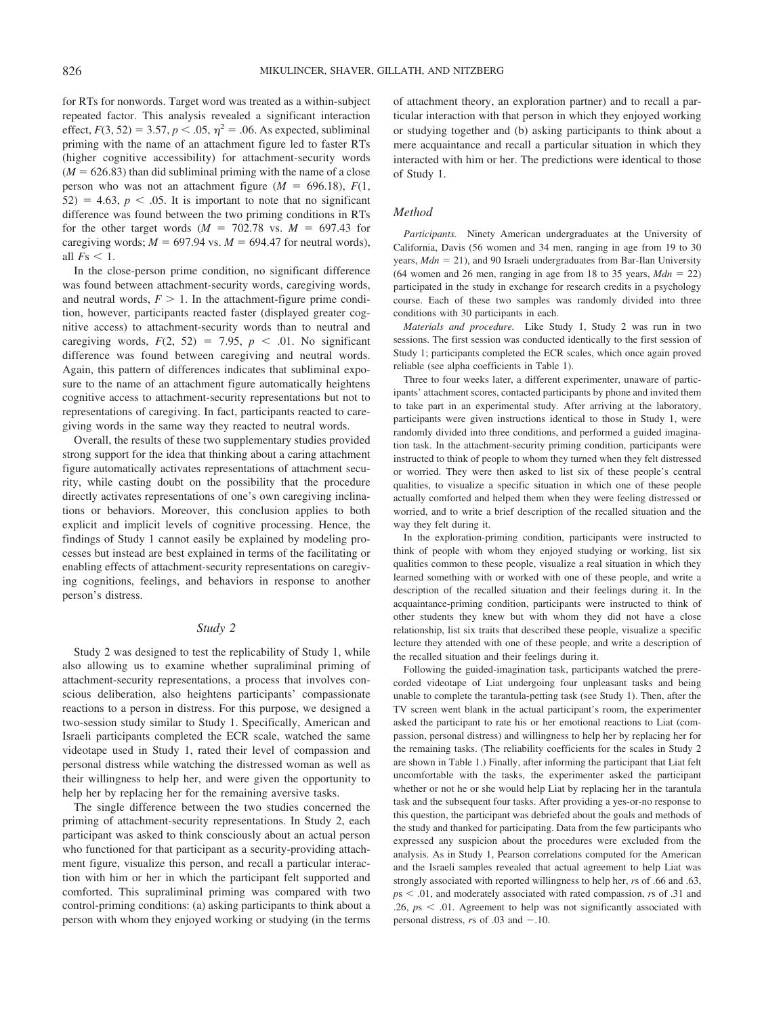for RTs for nonwords. Target word was treated as a within-subject repeated factor. This analysis revealed a significant interaction effect,  $F(3, 52) = 3.57, p < .05, \eta^2 = .06$ . As expected, subliminal priming with the name of an attachment figure led to faster RTs (higher cognitive accessibility) for attachment-security words  $(M = 626.83)$  than did subliminal priming with the name of a close person who was not an attachment figure  $(M = 696.18)$ ,  $F(1, 696.18)$  $52$ ) = 4.63,  $p < .05$ . It is important to note that no significant difference was found between the two priming conditions in RTs for the other target words ( $M = 702.78$  vs.  $M = 697.43$  for caregiving words;  $M = 697.94$  vs.  $M = 694.47$  for neutral words), all  $Fs < 1$ .

In the close-person prime condition, no significant difference was found between attachment-security words, caregiving words, and neutral words,  $F > 1$ . In the attachment-figure prime condition, however, participants reacted faster (displayed greater cognitive access) to attachment-security words than to neutral and caregiving words,  $F(2, 52) = 7.95$ ,  $p < .01$ . No significant difference was found between caregiving and neutral words. Again, this pattern of differences indicates that subliminal exposure to the name of an attachment figure automatically heightens cognitive access to attachment-security representations but not to representations of caregiving. In fact, participants reacted to caregiving words in the same way they reacted to neutral words.

Overall, the results of these two supplementary studies provided strong support for the idea that thinking about a caring attachment figure automatically activates representations of attachment security, while casting doubt on the possibility that the procedure directly activates representations of one's own caregiving inclinations or behaviors. Moreover, this conclusion applies to both explicit and implicit levels of cognitive processing. Hence, the findings of Study 1 cannot easily be explained by modeling processes but instead are best explained in terms of the facilitating or enabling effects of attachment-security representations on caregiving cognitions, feelings, and behaviors in response to another person's distress.

# *Study 2*

Study 2 was designed to test the replicability of Study 1, while also allowing us to examine whether supraliminal priming of attachment-security representations, a process that involves conscious deliberation, also heightens participants' compassionate reactions to a person in distress. For this purpose, we designed a two-session study similar to Study 1. Specifically, American and Israeli participants completed the ECR scale, watched the same videotape used in Study 1, rated their level of compassion and personal distress while watching the distressed woman as well as their willingness to help her, and were given the opportunity to help her by replacing her for the remaining aversive tasks.

The single difference between the two studies concerned the priming of attachment-security representations. In Study 2, each participant was asked to think consciously about an actual person who functioned for that participant as a security-providing attachment figure, visualize this person, and recall a particular interaction with him or her in which the participant felt supported and comforted. This supraliminal priming was compared with two control-priming conditions: (a) asking participants to think about a person with whom they enjoyed working or studying (in the terms of attachment theory, an exploration partner) and to recall a particular interaction with that person in which they enjoyed working or studying together and (b) asking participants to think about a mere acquaintance and recall a particular situation in which they interacted with him or her. The predictions were identical to those of Study 1.

### *Method*

*Participants.* Ninety American undergraduates at the University of California, Davis (56 women and 34 men, ranging in age from 19 to 30 years,  $Mdn = 21$ ), and 90 Israeli undergraduates from Bar-Ilan University (64 women and 26 men, ranging in age from 18 to 35 years,  $Mdn = 22$ ) participated in the study in exchange for research credits in a psychology course. Each of these two samples was randomly divided into three conditions with 30 participants in each.

*Materials and procedure.* Like Study 1, Study 2 was run in two sessions. The first session was conducted identically to the first session of Study 1; participants completed the ECR scales, which once again proved reliable (see alpha coefficients in Table 1).

Three to four weeks later, a different experimenter, unaware of participants' attachment scores, contacted participants by phone and invited them to take part in an experimental study. After arriving at the laboratory, participants were given instructions identical to those in Study 1, were randomly divided into three conditions, and performed a guided imagination task. In the attachment-security priming condition, participants were instructed to think of people to whom they turned when they felt distressed or worried. They were then asked to list six of these people's central qualities, to visualize a specific situation in which one of these people actually comforted and helped them when they were feeling distressed or worried, and to write a brief description of the recalled situation and the way they felt during it.

In the exploration-priming condition, participants were instructed to think of people with whom they enjoyed studying or working, list six qualities common to these people, visualize a real situation in which they learned something with or worked with one of these people, and write a description of the recalled situation and their feelings during it. In the acquaintance-priming condition, participants were instructed to think of other students they knew but with whom they did not have a close relationship, list six traits that described these people, visualize a specific lecture they attended with one of these people, and write a description of the recalled situation and their feelings during it.

Following the guided-imagination task, participants watched the prerecorded videotape of Liat undergoing four unpleasant tasks and being unable to complete the tarantula-petting task (see Study 1). Then, after the TV screen went blank in the actual participant's room, the experimenter asked the participant to rate his or her emotional reactions to Liat (compassion, personal distress) and willingness to help her by replacing her for the remaining tasks. (The reliability coefficients for the scales in Study 2 are shown in Table 1.) Finally, after informing the participant that Liat felt uncomfortable with the tasks, the experimenter asked the participant whether or not he or she would help Liat by replacing her in the tarantula task and the subsequent four tasks. After providing a yes-or-no response to this question, the participant was debriefed about the goals and methods of the study and thanked for participating. Data from the few participants who expressed any suspicion about the procedures were excluded from the analysis. As in Study 1, Pearson correlations computed for the American and the Israeli samples revealed that actual agreement to help Liat was strongly associated with reported willingness to help her, *r*s of .66 and .63, *p*s - .01, and moderately associated with rated compassion, *r*s of .31 and  $.26, ps < .01.$  Agreement to help was not significantly associated with personal distress,  $rs$  of .03 and  $-.10$ .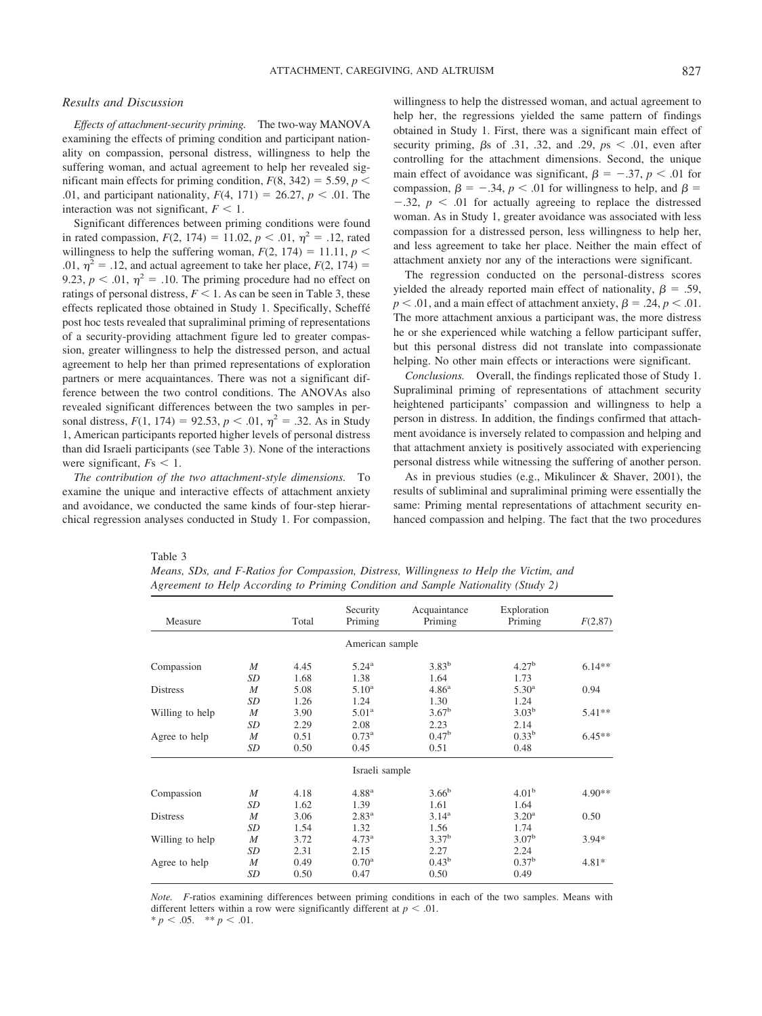# *Results and Discussion*

*Effects of attachment-security priming.* The two-way MANOVA examining the effects of priming condition and participant nationality on compassion, personal distress, willingness to help the suffering woman, and actual agreement to help her revealed significant main effects for priming condition,  $F(8, 342) = 5.59$ ,  $p <$ .01, and participant nationality,  $F(4, 171) = 26.27, p < .01$ . The interaction was not significant,  $F < 1$ .

Significant differences between priming conditions were found in rated compassion,  $F(2, 174) = 11.02$ ,  $p < .01$ ,  $\eta^2 = .12$ , rated willingness to help the suffering woman,  $F(2, 174) = 11.11$ ,  $p <$ .01,  $\eta^2$  = .12, and actual agreement to take her place,  $F(2, 174)$  = 9.23,  $p < .01$ ,  $\eta^2 = .10$ . The priming procedure had no effect on ratings of personal distress,  $F \leq 1$ . As can be seen in Table 3, these effects replicated those obtained in Study 1. Specifically, Scheffe´ post hoc tests revealed that supraliminal priming of representations of a security-providing attachment figure led to greater compassion, greater willingness to help the distressed person, and actual agreement to help her than primed representations of exploration partners or mere acquaintances. There was not a significant difference between the two control conditions. The ANOVAs also revealed significant differences between the two samples in personal distress,  $F(1, 174) = 92.53$ ,  $p < .01$ ,  $\eta^2 = .32$ . As in Study 1, American participants reported higher levels of personal distress than did Israeli participants (see Table 3). None of the interactions were significant,  $Fs < 1$ .

*The contribution of the two attachment-style dimensions.* To examine the unique and interactive effects of attachment anxiety and avoidance, we conducted the same kinds of four-step hierarchical regression analyses conducted in Study 1. For compassion, willingness to help the distressed woman, and actual agreement to help her, the regressions yielded the same pattern of findings obtained in Study 1. First, there was a significant main effect of security priming,  $\beta$ s of .31, .32, and .29,  $p s < .01$ , even after controlling for the attachment dimensions. Second, the unique main effect of avoidance was significant,  $\beta = -.37$ ,  $p < .01$  for compassion,  $\beta = -.34$ ,  $p < .01$  for willingness to help, and  $\beta =$  $-.32, p \leq .01$  for actually agreeing to replace the distressed woman. As in Study 1, greater avoidance was associated with less compassion for a distressed person, less willingness to help her, and less agreement to take her place. Neither the main effect of attachment anxiety nor any of the interactions were significant.

The regression conducted on the personal-distress scores yielded the already reported main effect of nationality,  $\beta = .59$ ,  $p < .01$ , and a main effect of attachment anxiety,  $\beta = .24$ ,  $p < .01$ . The more attachment anxious a participant was, the more distress he or she experienced while watching a fellow participant suffer, but this personal distress did not translate into compassionate helping. No other main effects or interactions were significant.

*Conclusions.* Overall, the findings replicated those of Study 1. Supraliminal priming of representations of attachment security heightened participants' compassion and willingness to help a person in distress. In addition, the findings confirmed that attachment avoidance is inversely related to compassion and helping and that attachment anxiety is positively associated with experiencing personal distress while witnessing the suffering of another person.

As in previous studies (e.g., Mikulincer & Shaver, 2001), the results of subliminal and supraliminal priming were essentially the same: Priming mental representations of attachment security enhanced compassion and helping. The fact that the two procedures

Table 3

*Means, SDs, and F-Ratios for Compassion, Distress, Willingness to Help the Victim, and Agreement to Help According to Priming Condition and Sample Nationality (Study 2)*

| Measure         |    | Total | Security<br>Priming | Acquaintance<br>Priming | Exploration<br>Priming | F(2,87)  |
|-----------------|----|-------|---------------------|-------------------------|------------------------|----------|
|                 |    |       | American sample     |                         |                        |          |
| Compassion      | M  | 4.45  | $5.24^{\rm a}$      | $3.83^{b}$              | 4.27 <sup>b</sup>      | $6.14**$ |
|                 | SD | 1.68  | 1.38                | 1.64                    | 1.73                   |          |
| <b>Distress</b> | M  | 5.08  | $5.10^{\rm a}$      | 4.86 <sup>a</sup>       | $5.30^{\rm a}$         | 0.94     |
|                 | SD | 1.26  | 1.24                | 1.30                    | 1.24                   |          |
| Willing to help | M  | 3.90  | 5.01 <sup>a</sup>   | $3.67^{\rm b}$          | 3.03 <sup>b</sup>      | $5.41**$ |
|                 | SD | 2.29  | 2.08                | 2.23                    | 2.14                   |          |
| Agree to help   | M  | 0.51  | $0.73^{\rm a}$      | 0.47 <sup>b</sup>       | 0.33 <sup>b</sup>      | $6.45**$ |
|                 | SD | 0.50  | 0.45                | 0.51                    | 0.48                   |          |
|                 |    |       | Israeli sample      |                         |                        |          |
| Compassion      | M  | 4.18  | $4.88^{a}$          | 3.66 <sup>b</sup>       | 4.01 <sup>b</sup>      | 4.90**   |
|                 | SD | 1.62  | 1.39                | 1.61                    | 1.64                   |          |
| <b>Distress</b> | M  | 3.06  | $2.83^{\rm a}$      | $3.14^{\rm a}$          | $3.20^{\rm a}$         | 0.50     |
|                 | SD | 1.54  | 1.32                | 1.56                    | 1.74                   |          |
| Willing to help | M  | 3.72  | 4.73 <sup>a</sup>   | 3.37 <sup>b</sup>       | 3.07 <sup>b</sup>      | $3.94*$  |
|                 | SD | 2.31  | 2.15                | 2.27                    | 2.24                   |          |
| Agree to help   | M  | 0.49  | $0.70^{\rm a}$      | 0.43 <sup>b</sup>       | 0.37 <sup>b</sup>      | $4.81*$  |
|                 | SD | 0.50  | 0.47                | 0.50                    | 0.49                   |          |

*Note. F*-ratios examining differences between priming conditions in each of the two samples. Means with different letters within a row were significantly different at  $p < .01$ .

 $* p < .05.$  \*\*  $p < .01.$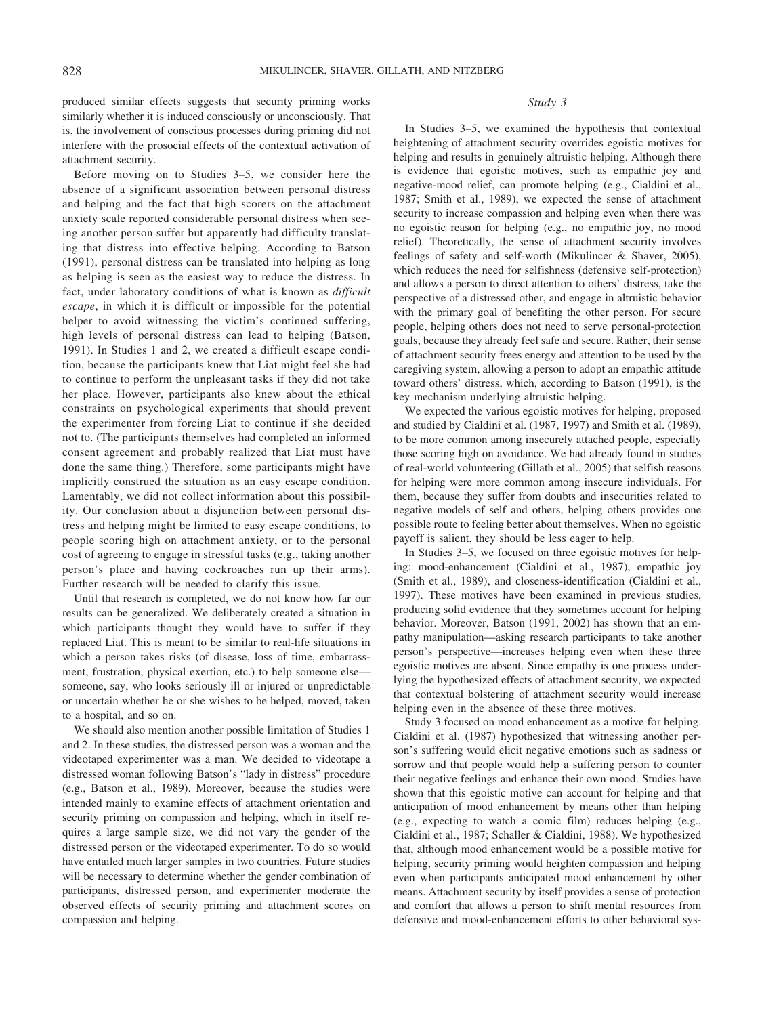produced similar effects suggests that security priming works similarly whether it is induced consciously or unconsciously. That is, the involvement of conscious processes during priming did not interfere with the prosocial effects of the contextual activation of attachment security.

Before moving on to Studies 3–5, we consider here the absence of a significant association between personal distress and helping and the fact that high scorers on the attachment anxiety scale reported considerable personal distress when seeing another person suffer but apparently had difficulty translating that distress into effective helping. According to Batson (1991), personal distress can be translated into helping as long as helping is seen as the easiest way to reduce the distress. In fact, under laboratory conditions of what is known as *difficult escape*, in which it is difficult or impossible for the potential helper to avoid witnessing the victim's continued suffering, high levels of personal distress can lead to helping (Batson, 1991). In Studies 1 and 2, we created a difficult escape condition, because the participants knew that Liat might feel she had to continue to perform the unpleasant tasks if they did not take her place. However, participants also knew about the ethical constraints on psychological experiments that should prevent the experimenter from forcing Liat to continue if she decided not to. (The participants themselves had completed an informed consent agreement and probably realized that Liat must have done the same thing.) Therefore, some participants might have implicitly construed the situation as an easy escape condition. Lamentably, we did not collect information about this possibility. Our conclusion about a disjunction between personal distress and helping might be limited to easy escape conditions, to people scoring high on attachment anxiety, or to the personal cost of agreeing to engage in stressful tasks (e.g., taking another person's place and having cockroaches run up their arms). Further research will be needed to clarify this issue.

Until that research is completed, we do not know how far our results can be generalized. We deliberately created a situation in which participants thought they would have to suffer if they replaced Liat. This is meant to be similar to real-life situations in which a person takes risks (of disease, loss of time, embarrassment, frustration, physical exertion, etc.) to help someone else someone, say, who looks seriously ill or injured or unpredictable or uncertain whether he or she wishes to be helped, moved, taken to a hospital, and so on.

We should also mention another possible limitation of Studies 1 and 2. In these studies, the distressed person was a woman and the videotaped experimenter was a man. We decided to videotape a distressed woman following Batson's "lady in distress" procedure (e.g., Batson et al., 1989). Moreover, because the studies were intended mainly to examine effects of attachment orientation and security priming on compassion and helping, which in itself requires a large sample size, we did not vary the gender of the distressed person or the videotaped experimenter. To do so would have entailed much larger samples in two countries. Future studies will be necessary to determine whether the gender combination of participants, distressed person, and experimenter moderate the observed effects of security priming and attachment scores on compassion and helping.

# *Study 3*

In Studies 3–5, we examined the hypothesis that contextual heightening of attachment security overrides egoistic motives for helping and results in genuinely altruistic helping. Although there is evidence that egoistic motives, such as empathic joy and negative-mood relief, can promote helping (e.g., Cialdini et al., 1987; Smith et al., 1989), we expected the sense of attachment security to increase compassion and helping even when there was no egoistic reason for helping (e.g., no empathic joy, no mood relief). Theoretically, the sense of attachment security involves feelings of safety and self-worth (Mikulincer & Shaver, 2005), which reduces the need for selfishness (defensive self-protection) and allows a person to direct attention to others' distress, take the perspective of a distressed other, and engage in altruistic behavior with the primary goal of benefiting the other person. For secure people, helping others does not need to serve personal-protection goals, because they already feel safe and secure. Rather, their sense of attachment security frees energy and attention to be used by the caregiving system, allowing a person to adopt an empathic attitude toward others' distress, which, according to Batson (1991), is the key mechanism underlying altruistic helping.

We expected the various egoistic motives for helping, proposed and studied by Cialdini et al. (1987, 1997) and Smith et al. (1989), to be more common among insecurely attached people, especially those scoring high on avoidance. We had already found in studies of real-world volunteering (Gillath et al., 2005) that selfish reasons for helping were more common among insecure individuals. For them, because they suffer from doubts and insecurities related to negative models of self and others, helping others provides one possible route to feeling better about themselves. When no egoistic payoff is salient, they should be less eager to help.

In Studies 3–5, we focused on three egoistic motives for helping: mood-enhancement (Cialdini et al., 1987), empathic joy (Smith et al., 1989), and closeness-identification (Cialdini et al., 1997). These motives have been examined in previous studies, producing solid evidence that they sometimes account for helping behavior. Moreover, Batson (1991, 2002) has shown that an empathy manipulation—asking research participants to take another person's perspective—increases helping even when these three egoistic motives are absent. Since empathy is one process underlying the hypothesized effects of attachment security, we expected that contextual bolstering of attachment security would increase helping even in the absence of these three motives.

Study 3 focused on mood enhancement as a motive for helping. Cialdini et al. (1987) hypothesized that witnessing another person's suffering would elicit negative emotions such as sadness or sorrow and that people would help a suffering person to counter their negative feelings and enhance their own mood. Studies have shown that this egoistic motive can account for helping and that anticipation of mood enhancement by means other than helping (e.g., expecting to watch a comic film) reduces helping (e.g., Cialdini et al., 1987; Schaller & Cialdini, 1988). We hypothesized that, although mood enhancement would be a possible motive for helping, security priming would heighten compassion and helping even when participants anticipated mood enhancement by other means. Attachment security by itself provides a sense of protection and comfort that allows a person to shift mental resources from defensive and mood-enhancement efforts to other behavioral sys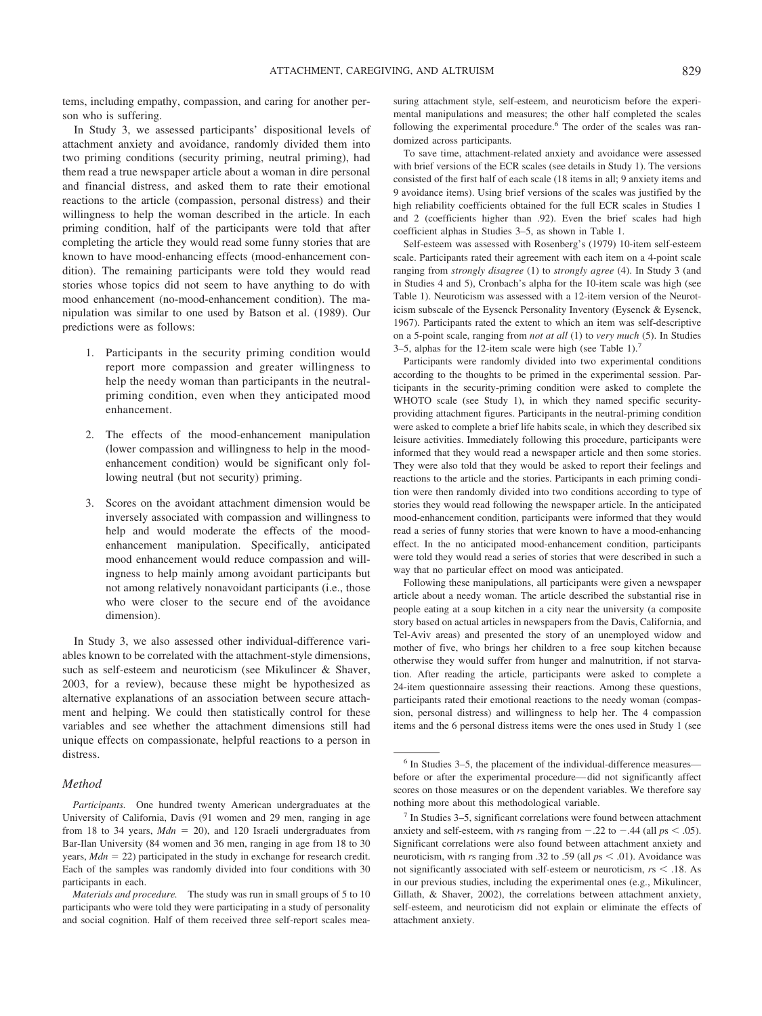tems, including empathy, compassion, and caring for another person who is suffering.

In Study 3, we assessed participants' dispositional levels of attachment anxiety and avoidance, randomly divided them into two priming conditions (security priming, neutral priming), had them read a true newspaper article about a woman in dire personal and financial distress, and asked them to rate their emotional reactions to the article (compassion, personal distress) and their willingness to help the woman described in the article. In each priming condition, half of the participants were told that after completing the article they would read some funny stories that are known to have mood-enhancing effects (mood-enhancement condition). The remaining participants were told they would read stories whose topics did not seem to have anything to do with mood enhancement (no-mood-enhancement condition). The manipulation was similar to one used by Batson et al. (1989). Our predictions were as follows:

- 1. Participants in the security priming condition would report more compassion and greater willingness to help the needy woman than participants in the neutralpriming condition, even when they anticipated mood enhancement.
- 2. The effects of the mood-enhancement manipulation (lower compassion and willingness to help in the moodenhancement condition) would be significant only following neutral (but not security) priming.
- 3. Scores on the avoidant attachment dimension would be inversely associated with compassion and willingness to help and would moderate the effects of the moodenhancement manipulation. Specifically, anticipated mood enhancement would reduce compassion and willingness to help mainly among avoidant participants but not among relatively nonavoidant participants (i.e., those who were closer to the secure end of the avoidance dimension).

In Study 3, we also assessed other individual-difference variables known to be correlated with the attachment-style dimensions, such as self-esteem and neuroticism (see Mikulincer & Shaver, 2003, for a review), because these might be hypothesized as alternative explanations of an association between secure attachment and helping. We could then statistically control for these variables and see whether the attachment dimensions still had unique effects on compassionate, helpful reactions to a person in distress.

# *Method*

suring attachment style, self-esteem, and neuroticism before the experimental manipulations and measures; the other half completed the scales following the experimental procedure.<sup>6</sup> The order of the scales was randomized across participants.

To save time, attachment-related anxiety and avoidance were assessed with brief versions of the ECR scales (see details in Study 1). The versions consisted of the first half of each scale (18 items in all; 9 anxiety items and 9 avoidance items). Using brief versions of the scales was justified by the high reliability coefficients obtained for the full ECR scales in Studies 1 and 2 (coefficients higher than .92). Even the brief scales had high coefficient alphas in Studies 3–5, as shown in Table 1.

Self-esteem was assessed with Rosenberg's (1979) 10-item self-esteem scale. Participants rated their agreement with each item on a 4-point scale ranging from *strongly disagree* (1) to *strongly agree* (4). In Study 3 (and in Studies 4 and 5), Cronbach's alpha for the 10-item scale was high (see Table 1). Neuroticism was assessed with a 12-item version of the Neuroticism subscale of the Eysenck Personality Inventory (Eysenck & Eysenck, 1967). Participants rated the extent to which an item was self-descriptive on a 5-point scale, ranging from *not at all* (1) to *very much* (5). In Studies 3–5, alphas for the 12-item scale were high (see Table 1).<sup>7</sup>

Participants were randomly divided into two experimental conditions according to the thoughts to be primed in the experimental session. Participants in the security-priming condition were asked to complete the WHOTO scale (see Study 1), in which they named specific securityproviding attachment figures. Participants in the neutral-priming condition were asked to complete a brief life habits scale, in which they described six leisure activities. Immediately following this procedure, participants were informed that they would read a newspaper article and then some stories. They were also told that they would be asked to report their feelings and reactions to the article and the stories. Participants in each priming condition were then randomly divided into two conditions according to type of stories they would read following the newspaper article. In the anticipated mood-enhancement condition, participants were informed that they would read a series of funny stories that were known to have a mood-enhancing effect. In the no anticipated mood-enhancement condition, participants were told they would read a series of stories that were described in such a way that no particular effect on mood was anticipated.

Following these manipulations, all participants were given a newspaper article about a needy woman. The article described the substantial rise in people eating at a soup kitchen in a city near the university (a composite story based on actual articles in newspapers from the Davis, California, and Tel-Aviv areas) and presented the story of an unemployed widow and mother of five, who brings her children to a free soup kitchen because otherwise they would suffer from hunger and malnutrition, if not starvation. After reading the article, participants were asked to complete a 24-item questionnaire assessing their reactions. Among these questions, participants rated their emotional reactions to the needy woman (compassion, personal distress) and willingness to help her. The 4 compassion items and the 6 personal distress items were the ones used in Study 1 (see

*Participants.* One hundred twenty American undergraduates at the University of California, Davis (91 women and 29 men, ranging in age from 18 to 34 years,  $Mdn = 20$ ), and 120 Israeli undergraduates from Bar-Ilan University (84 women and 36 men, ranging in age from 18 to 30 years,  $Mdn = 22$ ) participated in the study in exchange for research credit. Each of the samples was randomly divided into four conditions with 30 participants in each.

*Materials and procedure.* The study was run in small groups of 5 to 10 participants who were told they were participating in a study of personality and social cognition. Half of them received three self-report scales mea-

<sup>6</sup> In Studies 3–5, the placement of the individual-difference measures before or after the experimental procedure— did not significantly affect scores on those measures or on the dependent variables. We therefore say nothing more about this methodological variable.

 $7$  In Studies 3–5, significant correlations were found between attachment anxiety and self-esteem, with *r*s ranging from  $-.22$  to  $-.44$  (all  $ps < .05$ ). Significant correlations were also found between attachment anxiety and neuroticism, with *rs* ranging from .32 to .59 (all  $ps < .01$ ). Avoidance was not significantly associated with self-esteem or neuroticism,  $rs < .18$ . As in our previous studies, including the experimental ones (e.g., Mikulincer, Gillath, & Shaver, 2002), the correlations between attachment anxiety, self-esteem, and neuroticism did not explain or eliminate the effects of attachment anxiety.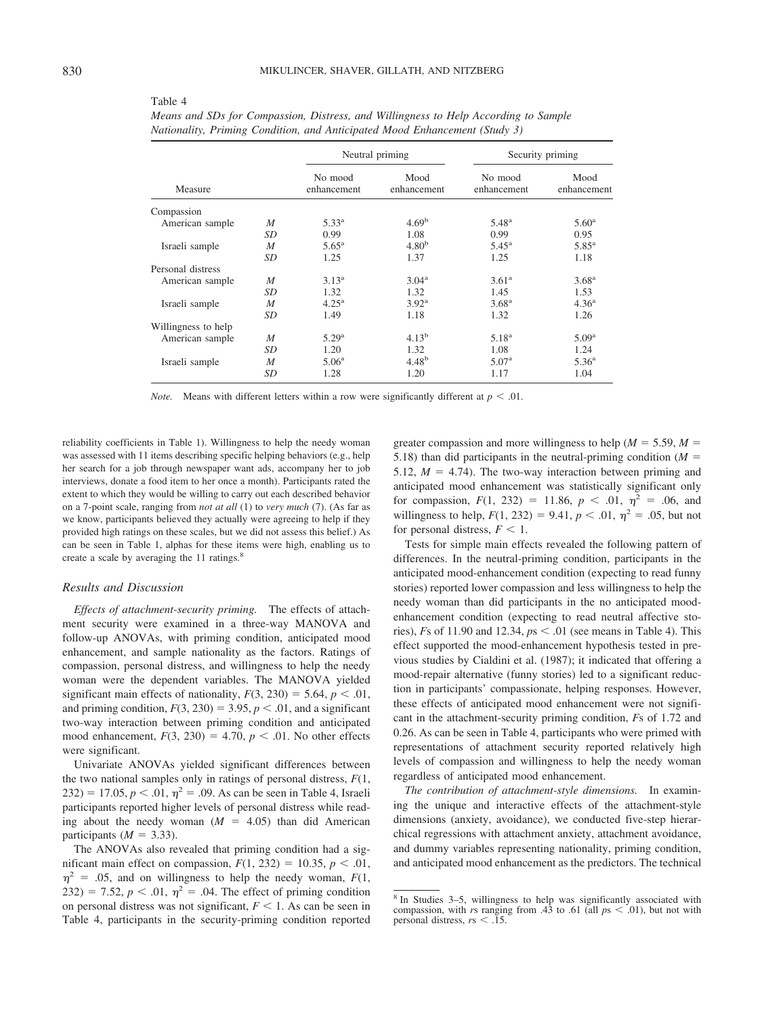#### Table 4

|                     |                  |                        | Neutral priming     | Security priming       |                     |  |
|---------------------|------------------|------------------------|---------------------|------------------------|---------------------|--|
| Measure             |                  | No mood<br>enhancement | Mood<br>enhancement | No mood<br>enhancement | Mood<br>enhancement |  |
| Compassion          |                  |                        |                     |                        |                     |  |
| American sample     | M                | $5.33^{a}$             | 4.69 <sup>b</sup>   | $5.48^{\rm a}$         | $5.60^{\rm a}$      |  |
|                     | SD               | 0.99                   | 1.08                | 0.99                   | 0.95                |  |
| Israeli sample      | M                | $5.65^{\rm a}$         | 4.80 <sup>b</sup>   | $5.45^{\rm a}$         | $5.85^{\rm a}$      |  |
|                     | SD               | 1.25                   | 1.37                | 1.25                   | 1.18                |  |
| Personal distress   |                  |                        |                     |                        |                     |  |
| American sample     | $\boldsymbol{M}$ | $3.13^{\rm a}$         | $3.04^{\rm a}$      | $3.61^{\rm a}$         | 3.68 <sup>a</sup>   |  |
|                     | SD.              | 1.32                   | 1.32                | 1.45                   | 1.53                |  |
| Israeli sample      | M                | $4.25^{\rm a}$         | $3.92^{\rm a}$      | 3.68 <sup>a</sup>      | 4.36 <sup>a</sup>   |  |
|                     | SD               | 1.49                   | 1.18                | 1.32                   | 1.26                |  |
| Willingness to help |                  |                        |                     |                        |                     |  |
| American sample     | M                | $5.29^{\rm a}$         | $4.13^{b}$          | $5.18^{a}$             | 5.09 <sup>a</sup>   |  |
|                     | SD               | 1.20                   | 1.32                | 1.08                   | 1.24                |  |
| Israeli sample      | M                | $5.06^{\rm a}$         | 4.48 <sup>b</sup>   | $5.07^{\rm a}$         | 5.36 <sup>a</sup>   |  |
|                     | SD               | 1.28                   | 1.20                | 1.17                   | 1.04                |  |

*Means and SDs for Compassion, Distress, and Willingness to Help According to Sample Nationality, Priming Condition, and Anticipated Mood Enhancement (Study 3)*

*Note.* Means with different letters within a row were significantly different at  $p < .01$ .

reliability coefficients in Table 1). Willingness to help the needy woman was assessed with 11 items describing specific helping behaviors (e.g., help her search for a job through newspaper want ads, accompany her to job interviews, donate a food item to her once a month). Participants rated the extent to which they would be willing to carry out each described behavior on a 7-point scale, ranging from *not at all* (1) to *very much* (7). (As far as we know, participants believed they actually were agreeing to help if they provided high ratings on these scales, but we did not assess this belief.) As can be seen in Table 1, alphas for these items were high, enabling us to create a scale by averaging the 11 ratings.<sup>8</sup>

#### *Results and Discussion*

*Effects of attachment-security priming.* The effects of attachment security were examined in a three-way MANOVA and follow-up ANOVAs, with priming condition, anticipated mood enhancement, and sample nationality as the factors. Ratings of compassion, personal distress, and willingness to help the needy woman were the dependent variables. The MANOVA yielded significant main effects of nationality,  $F(3, 230) = 5.64$ ,  $p < .01$ , and priming condition,  $F(3, 230) = 3.95$ ,  $p < .01$ , and a significant two-way interaction between priming condition and anticipated mood enhancement,  $F(3, 230) = 4.70$ ,  $p < .01$ . No other effects were significant.

Univariate ANOVAs yielded significant differences between the two national samples only in ratings of personal distress, *F*(1,  $(232) = 17.05, p < .01, \eta^2 = .09$ . As can be seen in Table 4, Israeli participants reported higher levels of personal distress while reading about the needy woman  $(M = 4.05)$  than did American participants  $(M = 3.33)$ .

The ANOVAs also revealed that priming condition had a significant main effect on compassion,  $F(1, 232) = 10.35$ ,  $p < .01$ ,  $\eta^2$  = .05, and on willingness to help the needy woman,  $F(1,$  $(232) = 7.52, p < .01, \eta^2 = .04$ . The effect of priming condition on personal distress was not significant,  $F < 1$ . As can be seen in Table 4, participants in the security-priming condition reported greater compassion and more willingness to help ( $M = 5.59$ ,  $M =$ 5.18) than did participants in the neutral-priming condition (*M* 5.12,  $M = 4.74$ ). The two-way interaction between priming and anticipated mood enhancement was statistically significant only for compassion,  $F(1, 232) = 11.86$ ,  $p < .01$ ,  $\eta^2 = .06$ , and willingness to help,  $F(1, 232) = 9.41$ ,  $p < .01$ ,  $\eta^2 = .05$ , but not for personal distress,  $F < 1$ .

Tests for simple main effects revealed the following pattern of differences. In the neutral-priming condition, participants in the anticipated mood-enhancement condition (expecting to read funny stories) reported lower compassion and less willingness to help the needy woman than did participants in the no anticipated moodenhancement condition (expecting to read neutral affective stories),  $F_s$  of 11.90 and 12.34,  $ps < .01$  (see means in Table 4). This effect supported the mood-enhancement hypothesis tested in previous studies by Cialdini et al. (1987); it indicated that offering a mood-repair alternative (funny stories) led to a significant reduction in participants' compassionate, helping responses. However, these effects of anticipated mood enhancement were not significant in the attachment-security priming condition, *F*s of 1.72 and 0.26. As can be seen in Table 4, participants who were primed with representations of attachment security reported relatively high levels of compassion and willingness to help the needy woman regardless of anticipated mood enhancement.

*The contribution of attachment-style dimensions.* In examining the unique and interactive effects of the attachment-style dimensions (anxiety, avoidance), we conducted five-step hierarchical regressions with attachment anxiety, attachment avoidance, and dummy variables representing nationality, priming condition, and anticipated mood enhancement as the predictors. The technical

<sup>8</sup> In Studies 3–5, willingness to help was significantly associated with compassion, with *rs* ranging from  $.43$  to  $.61$  (all  $ps < .01$ ), but not with personal distress,  $rs < .15$ .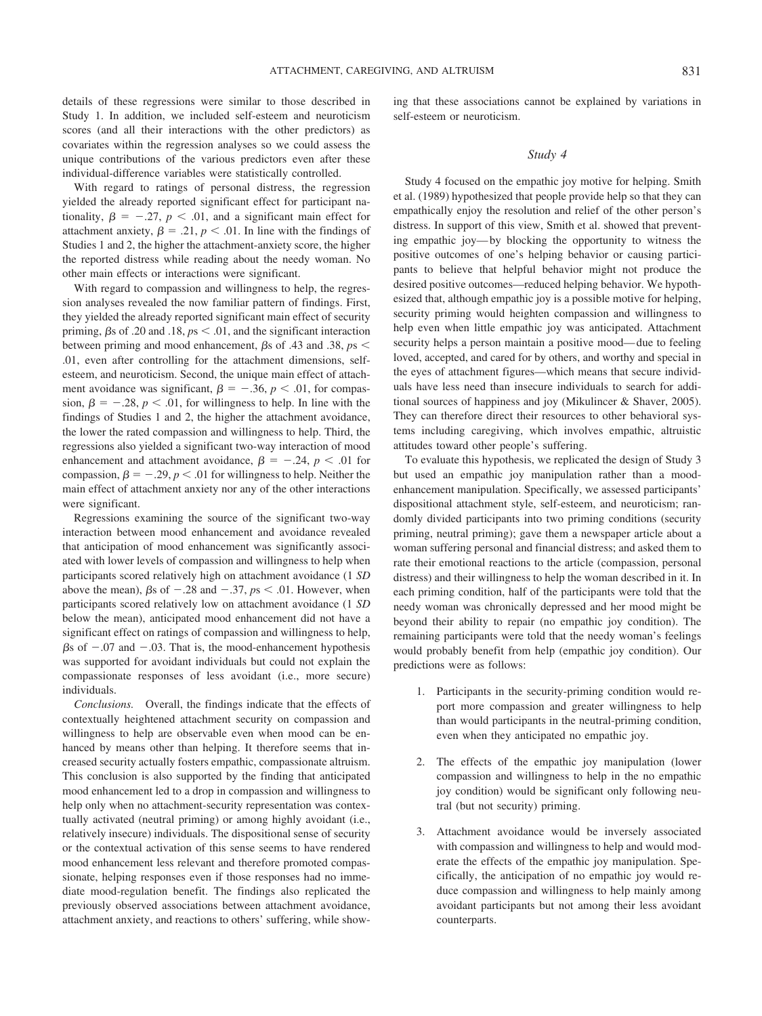With regard to ratings of personal distress, the regression yielded the already reported significant effect for participant nationality,  $\beta = -0.27$ ,  $p < 0.01$ , and a significant main effect for attachment anxiety,  $\beta = .21$ ,  $p < .01$ . In line with the findings of Studies 1 and 2, the higher the attachment-anxiety score, the higher the reported distress while reading about the needy woman. No other main effects or interactions were significant.

With regard to compassion and willingness to help, the regression analyses revealed the now familiar pattern of findings. First, they yielded the already reported significant main effect of security priming,  $\beta$ s of .20 and .18,  $p s < .01$ , and the significant interaction between priming and mood enhancement,  $\beta$ s of .43 and .38,  $\beta$ s < .01, even after controlling for the attachment dimensions, selfesteem, and neuroticism. Second, the unique main effect of attachment avoidance was significant,  $\beta = -.36$ ,  $p < .01$ , for compassion,  $\beta = -28$ ,  $p < .01$ , for willingness to help. In line with the findings of Studies 1 and 2, the higher the attachment avoidance, the lower the rated compassion and willingness to help. Third, the regressions also yielded a significant two-way interaction of mood enhancement and attachment avoidance,  $\beta = -.24$ ,  $p < .01$  for compassion,  $\beta = -0.29$ ,  $p < 0.01$  for willingness to help. Neither the main effect of attachment anxiety nor any of the other interactions were significant.

Regressions examining the source of the significant two-way interaction between mood enhancement and avoidance revealed that anticipation of mood enhancement was significantly associated with lower levels of compassion and willingness to help when participants scored relatively high on attachment avoidance (1 *SD* above the mean),  $\beta$ s of  $-.28$  and  $-.37$ ,  $\beta$ s  $\leq .01$ . However, when participants scored relatively low on attachment avoidance (1 *SD* below the mean), anticipated mood enhancement did not have a significant effect on ratings of compassion and willingness to help,  $\beta$ s of  $-.07$  and  $-.03$ . That is, the mood-enhancement hypothesis was supported for avoidant individuals but could not explain the compassionate responses of less avoidant (i.e., more secure) individuals.

*Conclusions.* Overall, the findings indicate that the effects of contextually heightened attachment security on compassion and willingness to help are observable even when mood can be enhanced by means other than helping. It therefore seems that increased security actually fosters empathic, compassionate altruism. This conclusion is also supported by the finding that anticipated mood enhancement led to a drop in compassion and willingness to help only when no attachment-security representation was contextually activated (neutral priming) or among highly avoidant (i.e., relatively insecure) individuals. The dispositional sense of security or the contextual activation of this sense seems to have rendered mood enhancement less relevant and therefore promoted compassionate, helping responses even if those responses had no immediate mood-regulation benefit. The findings also replicated the previously observed associations between attachment avoidance, attachment anxiety, and reactions to others' suffering, while showing that these associations cannot be explained by variations in self-esteem or neuroticism.

### *Study 4*

Study 4 focused on the empathic joy motive for helping. Smith et al. (1989) hypothesized that people provide help so that they can empathically enjoy the resolution and relief of the other person's distress. In support of this view, Smith et al. showed that preventing empathic joy— by blocking the opportunity to witness the positive outcomes of one's helping behavior or causing participants to believe that helpful behavior might not produce the desired positive outcomes—reduced helping behavior. We hypothesized that, although empathic joy is a possible motive for helping, security priming would heighten compassion and willingness to help even when little empathic joy was anticipated. Attachment security helps a person maintain a positive mood— due to feeling loved, accepted, and cared for by others, and worthy and special in the eyes of attachment figures—which means that secure individuals have less need than insecure individuals to search for additional sources of happiness and joy (Mikulincer & Shaver, 2005). They can therefore direct their resources to other behavioral systems including caregiving, which involves empathic, altruistic attitudes toward other people's suffering.

To evaluate this hypothesis, we replicated the design of Study 3 but used an empathic joy manipulation rather than a moodenhancement manipulation. Specifically, we assessed participants' dispositional attachment style, self-esteem, and neuroticism; randomly divided participants into two priming conditions (security priming, neutral priming); gave them a newspaper article about a woman suffering personal and financial distress; and asked them to rate their emotional reactions to the article (compassion, personal distress) and their willingness to help the woman described in it. In each priming condition, half of the participants were told that the needy woman was chronically depressed and her mood might be beyond their ability to repair (no empathic joy condition). The remaining participants were told that the needy woman's feelings would probably benefit from help (empathic joy condition). Our predictions were as follows:

- 1. Participants in the security-priming condition would report more compassion and greater willingness to help than would participants in the neutral-priming condition, even when they anticipated no empathic joy.
- 2. The effects of the empathic joy manipulation (lower compassion and willingness to help in the no empathic joy condition) would be significant only following neutral (but not security) priming.
- 3. Attachment avoidance would be inversely associated with compassion and willingness to help and would moderate the effects of the empathic joy manipulation. Specifically, the anticipation of no empathic joy would reduce compassion and willingness to help mainly among avoidant participants but not among their less avoidant counterparts.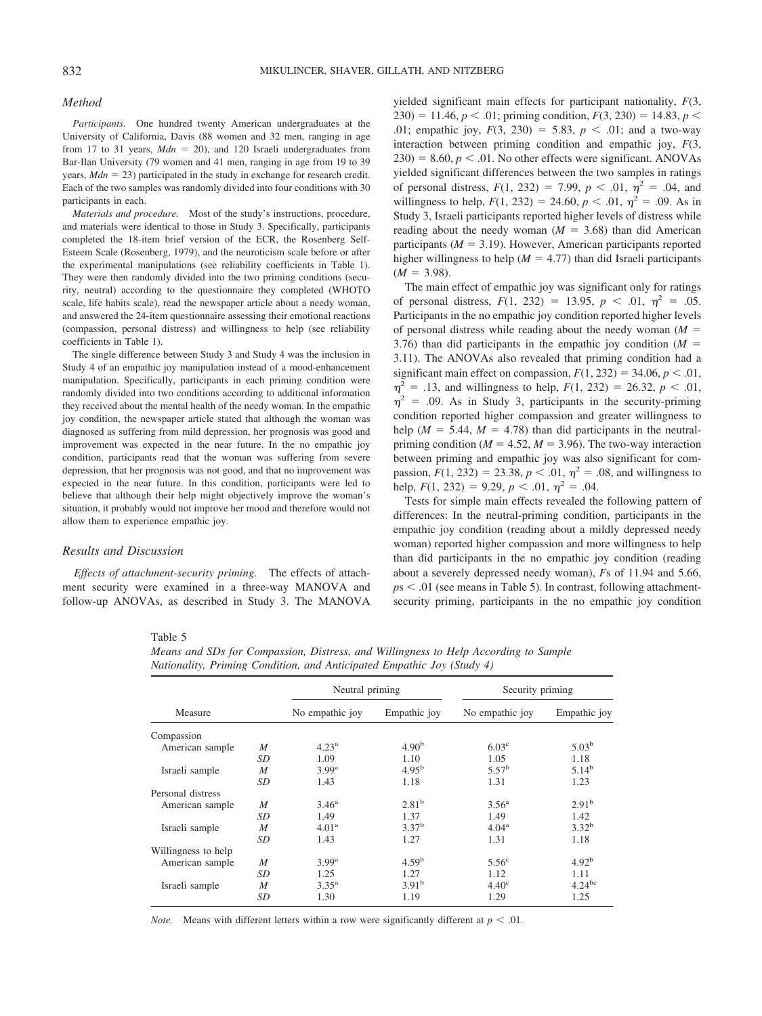#### *Method*

*Participants.* One hundred twenty American undergraduates at the University of California, Davis (88 women and 32 men, ranging in age from 17 to 31 years,  $Mdn = 20$ ), and 120 Israeli undergraduates from Bar-Ilan University (79 women and 41 men, ranging in age from 19 to 39 years,  $Mdn = 23$ ) participated in the study in exchange for research credit. Each of the two samples was randomly divided into four conditions with 30 participants in each.

*Materials and procedure.* Most of the study's instructions, procedure, and materials were identical to those in Study 3. Specifically, participants completed the 18-item brief version of the ECR, the Rosenberg Self-Esteem Scale (Rosenberg, 1979), and the neuroticism scale before or after the experimental manipulations (see reliability coefficients in Table 1). They were then randomly divided into the two priming conditions (security, neutral) according to the questionnaire they completed (WHOTO scale, life habits scale), read the newspaper article about a needy woman, and answered the 24-item questionnaire assessing their emotional reactions (compassion, personal distress) and willingness to help (see reliability coefficients in Table 1).

The single difference between Study 3 and Study 4 was the inclusion in Study 4 of an empathic joy manipulation instead of a mood-enhancement manipulation. Specifically, participants in each priming condition were randomly divided into two conditions according to additional information they received about the mental health of the needy woman. In the empathic joy condition, the newspaper article stated that although the woman was diagnosed as suffering from mild depression, her prognosis was good and improvement was expected in the near future. In the no empathic joy condition, participants read that the woman was suffering from severe depression, that her prognosis was not good, and that no improvement was expected in the near future. In this condition, participants were led to believe that although their help might objectively improve the woman's situation, it probably would not improve her mood and therefore would not allow them to experience empathic joy.

#### *Results and Discussion*

*Effects of attachment-security priming.* The effects of attachment security were examined in a three-way MANOVA and follow-up ANOVAs, as described in Study 3. The MANOVA yielded significant main effects for participant nationality, *F*(3,  $(230) = 11.46, p < .01$ ; priming condition,  $F(3, 230) = 14.83, p <$ .01; empathic joy,  $F(3, 230) = 5.83$ ,  $p < .01$ ; and a two-way interaction between priming condition and empathic joy, *F*(3,  $(230) = 8.60, p < .01$ . No other effects were significant. ANOVAs yielded significant differences between the two samples in ratings of personal distress,  $F(1, 232) = 7.99$ ,  $p < .01$ ,  $\eta^2 = .04$ , and willingness to help,  $F(1, 232) = 24.60, p < .01, \eta^2 = .09$ . As in Study 3, Israeli participants reported higher levels of distress while reading about the needy woman  $(M = 3.68)$  than did American participants ( $M = 3.19$ ). However, American participants reported higher willingness to help ( $M = 4.77$ ) than did Israeli participants  $(M = 3.98)$ .

The main effect of empathic joy was significant only for ratings of personal distress,  $F(1, 232) = 13.95$ ,  $p < .01$ ,  $\eta^2 = .05$ . Participants in the no empathic joy condition reported higher levels of personal distress while reading about the needy woman (*M* 3.76) than did participants in the empathic joy condition  $(M =$ 3.11). The ANOVAs also revealed that priming condition had a significant main effect on compassion,  $F(1, 232) = 34.06$ ,  $p < .01$ ,  $\eta^2 = .13$ , and willingness to help,  $F(1, 232) = 26.32, p < .01$ ,  $\eta^2$  = .09. As in Study 3, participants in the security-priming condition reported higher compassion and greater willingness to help ( $M = 5.44$ ,  $M = 4.78$ ) than did participants in the neutralpriming condition ( $M = 4.52$ ,  $M = 3.96$ ). The two-way interaction between priming and empathic joy was also significant for compassion,  $F(1, 232) = 23.38$ ,  $p < .01$ ,  $\eta^2 = .08$ , and willingness to help,  $F(1, 232) = 9.29$ ,  $p < .01$ ,  $\eta^2 = .04$ .

Tests for simple main effects revealed the following pattern of differences: In the neutral-priming condition, participants in the empathic joy condition (reading about a mildly depressed needy woman) reported higher compassion and more willingness to help than did participants in the no empathic joy condition (reading about a severely depressed needy woman), *F*s of 11.94 and 5.66,  $p<sub>5</sub> < 0.01$  (see means in Table 5). In contrast, following attachmentsecurity priming, participants in the no empathic joy condition

#### Table 5

|  | Means and SDs for Compassion, Distress, and Willingness to Help According to Sample |  |  |  |  |
|--|-------------------------------------------------------------------------------------|--|--|--|--|
|  | Nationality, Priming Condition, and Anticipated Empathic Joy (Study 4)              |  |  |  |  |

|                     |                  | Neutral priming   |                   | Security priming  |                   |  |  |
|---------------------|------------------|-------------------|-------------------|-------------------|-------------------|--|--|
| Measure             |                  | No empathic joy   | Empathic joy      | No empathic joy   | Empathic joy      |  |  |
| Compassion          |                  |                   |                   |                   |                   |  |  |
| American sample     | M                | $4.23^{\rm a}$    | 4.90 <sup>b</sup> | 6.03 <sup>c</sup> | 5.03 <sup>b</sup> |  |  |
|                     | SD               | 1.09              | 1.10              | 1.05              | 1.18              |  |  |
| Israeli sample      | M                | 3.99 <sup>a</sup> | 4.95 <sup>b</sup> | 5.57 <sup>b</sup> | 5.14 <sup>b</sup> |  |  |
|                     | SD               | 1.43              | 1.18              | 1.31              | 1.23              |  |  |
| Personal distress   |                  |                   |                   |                   |                   |  |  |
| American sample     | $\boldsymbol{M}$ | $3.46^{\rm a}$    | 2.81 <sup>b</sup> | 3.56 <sup>a</sup> | 2.91 <sup>b</sup> |  |  |
|                     | SD               | 1.49              | 1.37              | 1.49              | 1.42              |  |  |
| Israeli sample      | M                | 4.01 <sup>a</sup> | 3.37 <sup>b</sup> | 4.04 <sup>a</sup> | 3.32 <sup>b</sup> |  |  |
|                     | SD               | 1.43              | 1.27              | 1.31              | 1.18              |  |  |
| Willingness to help |                  |                   |                   |                   |                   |  |  |
| American sample     | M                | 3.99 <sup>a</sup> | 4.59 <sup>b</sup> | 5.56 <sup>c</sup> | 4.92 <sup>b</sup> |  |  |
|                     | SD               | 1.25              | 1.27              | 1.12              | 1.11              |  |  |
| Israeli sample      | M                | $3.35^{\rm a}$    | 3.91 <sup>b</sup> | 4.40 <sup>c</sup> | $4.24^{bc}$       |  |  |
|                     | SD               | 1.30              | 1.19              | 1.29              | 1.25              |  |  |

*Note.* Means with different letters within a row were significantly different at  $p < .01$ .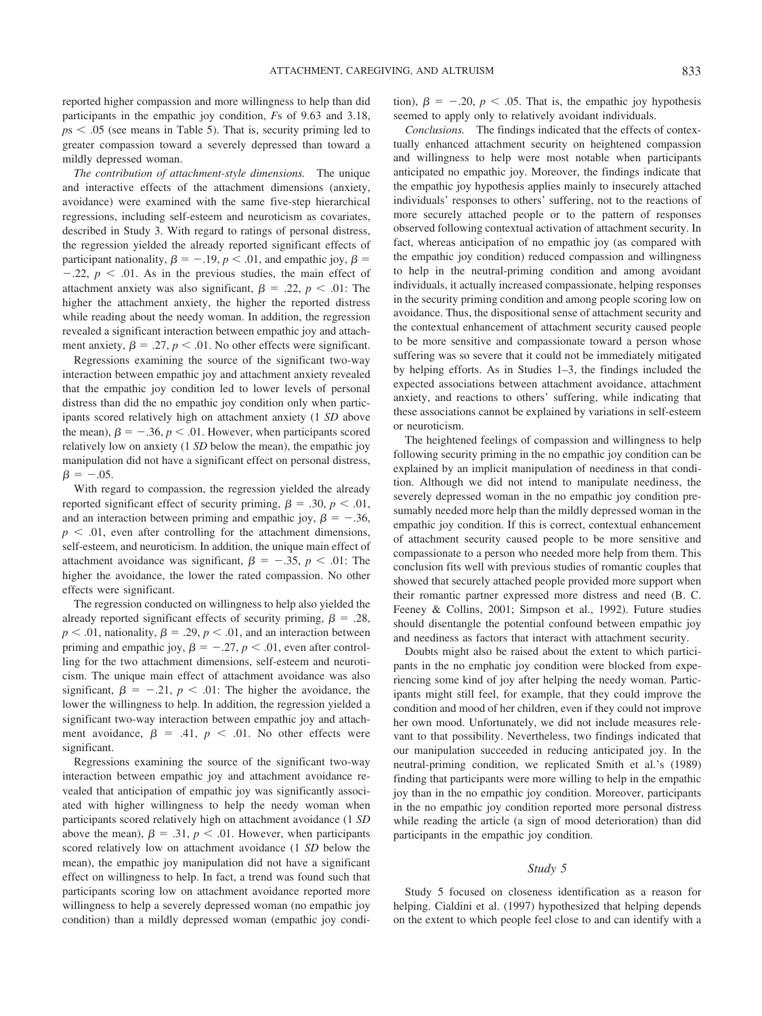reported higher compassion and more willingness to help than did participants in the empathic joy condition, *F*s of 9.63 and 3.18,  $p s < .05$  (see means in Table 5). That is, security priming led to greater compassion toward a severely depressed than toward a mildly depressed woman.

*The contribution of attachment-style dimensions.* The unique and interactive effects of the attachment dimensions (anxiety, avoidance) were examined with the same five-step hierarchical regressions, including self-esteem and neuroticism as covariates, described in Study 3. With regard to ratings of personal distress, the regression yielded the already reported significant effects of participant nationality,  $\beta = -.19, p < .01$ , and empathic joy,  $\beta =$  $-.22, p \leq .01$ . As in the previous studies, the main effect of attachment anxiety was also significant,  $\beta = .22$ ,  $p < .01$ : The higher the attachment anxiety, the higher the reported distress while reading about the needy woman. In addition, the regression revealed a significant interaction between empathic joy and attachment anxiety,  $\beta = .27$ ,  $p < .01$ . No other effects were significant.

Regressions examining the source of the significant two-way interaction between empathic joy and attachment anxiety revealed that the empathic joy condition led to lower levels of personal distress than did the no empathic joy condition only when participants scored relatively high on attachment anxiety (1 *SD* above the mean),  $\beta = -.36$ ,  $p < .01$ . However, when participants scored relatively low on anxiety (1 *SD* below the mean), the empathic joy manipulation did not have a significant effect on personal distress,  $\beta = -.05$ .

With regard to compassion, the regression yielded the already reported significant effect of security priming,  $\beta = .30, p < .01$ , and an interaction between priming and empathic joy,  $\beta = -.36$ ,  $p \leq 0.01$ , even after controlling for the attachment dimensions, self-esteem, and neuroticism. In addition, the unique main effect of attachment avoidance was significant,  $\beta = -.35, p < .01$ : The higher the avoidance, the lower the rated compassion. No other effects were significant.

The regression conducted on willingness to help also yielded the already reported significant effects of security priming,  $\beta = .28$ ,  $p < .01$ , nationality,  $\beta = .29$ ,  $p < .01$ , and an interaction between priming and empathic joy,  $\beta = -.27, p < .01$ , even after controlling for the two attachment dimensions, self-esteem and neuroticism. The unique main effect of attachment avoidance was also significant,  $\beta = -0.21$ ,  $p < 0.01$ : The higher the avoidance, the lower the willingness to help. In addition, the regression yielded a significant two-way interaction between empathic joy and attachment avoidance,  $\beta = .41$ ,  $p < .01$ . No other effects were significant.

Regressions examining the source of the significant two-way interaction between empathic joy and attachment avoidance revealed that anticipation of empathic joy was significantly associated with higher willingness to help the needy woman when participants scored relatively high on attachment avoidance (1 *SD* above the mean),  $\beta = .31$ ,  $p < .01$ . However, when participants scored relatively low on attachment avoidance (1 *SD* below the mean), the empathic joy manipulation did not have a significant effect on willingness to help. In fact, a trend was found such that participants scoring low on attachment avoidance reported more willingness to help a severely depressed woman (no empathic joy condition) than a mildly depressed woman (empathic joy condi-

tion),  $\beta = -.20, p < .05$ . That is, the empathic joy hypothesis seemed to apply only to relatively avoidant individuals.

*Conclusions.* The findings indicated that the effects of contextually enhanced attachment security on heightened compassion and willingness to help were most notable when participants anticipated no empathic joy. Moreover, the findings indicate that the empathic joy hypothesis applies mainly to insecurely attached individuals' responses to others' suffering, not to the reactions of more securely attached people or to the pattern of responses observed following contextual activation of attachment security. In fact, whereas anticipation of no empathic joy (as compared with the empathic joy condition) reduced compassion and willingness to help in the neutral-priming condition and among avoidant individuals, it actually increased compassionate, helping responses in the security priming condition and among people scoring low on avoidance. Thus, the dispositional sense of attachment security and the contextual enhancement of attachment security caused people to be more sensitive and compassionate toward a person whose suffering was so severe that it could not be immediately mitigated by helping efforts. As in Studies 1–3, the findings included the expected associations between attachment avoidance, attachment anxiety, and reactions to others' suffering, while indicating that these associations cannot be explained by variations in self-esteem or neuroticism.

The heightened feelings of compassion and willingness to help following security priming in the no empathic joy condition can be explained by an implicit manipulation of neediness in that condition. Although we did not intend to manipulate neediness, the severely depressed woman in the no empathic joy condition presumably needed more help than the mildly depressed woman in the empathic joy condition. If this is correct, contextual enhancement of attachment security caused people to be more sensitive and compassionate to a person who needed more help from them. This conclusion fits well with previous studies of romantic couples that showed that securely attached people provided more support when their romantic partner expressed more distress and need (B. C. Feeney & Collins, 2001; Simpson et al., 1992). Future studies should disentangle the potential confound between empathic joy and neediness as factors that interact with attachment security.

Doubts might also be raised about the extent to which participants in the no emphatic joy condition were blocked from experiencing some kind of joy after helping the needy woman. Participants might still feel, for example, that they could improve the condition and mood of her children, even if they could not improve her own mood. Unfortunately, we did not include measures relevant to that possibility. Nevertheless, two findings indicated that our manipulation succeeded in reducing anticipated joy. In the neutral-priming condition, we replicated Smith et al.'s (1989) finding that participants were more willing to help in the empathic joy than in the no empathic joy condition. Moreover, participants in the no empathic joy condition reported more personal distress while reading the article (a sign of mood deterioration) than did participants in the empathic joy condition.

# *Study 5*

Study 5 focused on closeness identification as a reason for helping. Cialdini et al. (1997) hypothesized that helping depends on the extent to which people feel close to and can identify with a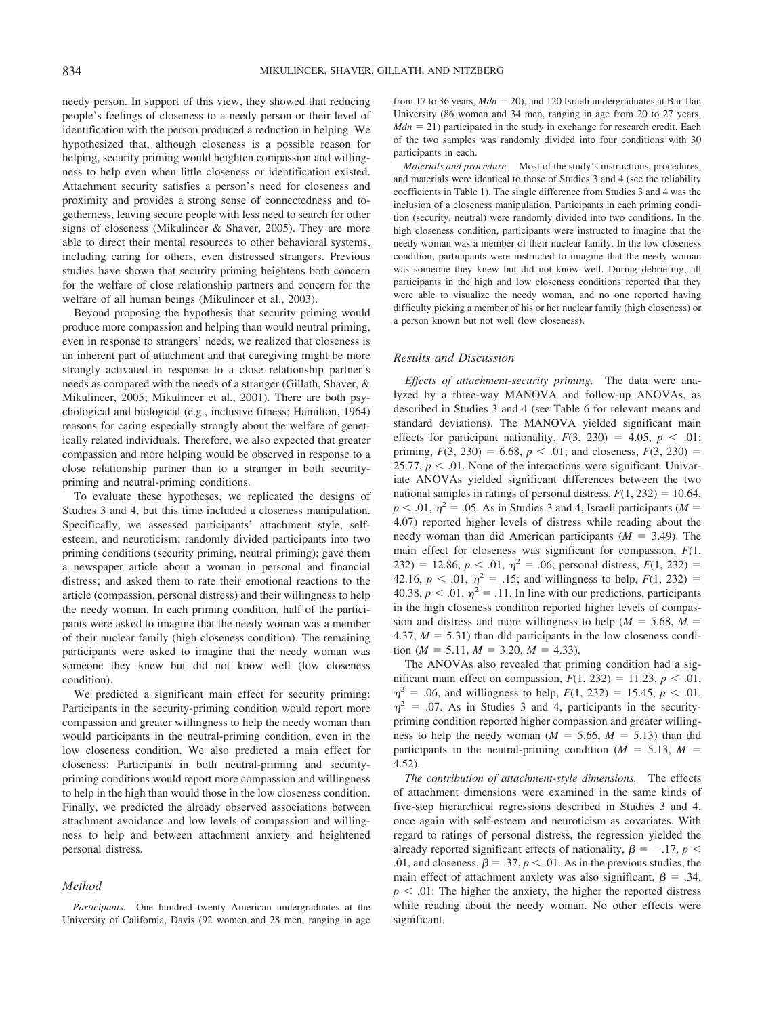needy person. In support of this view, they showed that reducing people's feelings of closeness to a needy person or their level of identification with the person produced a reduction in helping. We hypothesized that, although closeness is a possible reason for helping, security priming would heighten compassion and willingness to help even when little closeness or identification existed. Attachment security satisfies a person's need for closeness and proximity and provides a strong sense of connectedness and togetherness, leaving secure people with less need to search for other signs of closeness (Mikulincer & Shaver, 2005). They are more able to direct their mental resources to other behavioral systems, including caring for others, even distressed strangers. Previous studies have shown that security priming heightens both concern for the welfare of close relationship partners and concern for the welfare of all human beings (Mikulincer et al., 2003).

Beyond proposing the hypothesis that security priming would produce more compassion and helping than would neutral priming, even in response to strangers' needs, we realized that closeness is an inherent part of attachment and that caregiving might be more strongly activated in response to a close relationship partner's needs as compared with the needs of a stranger (Gillath, Shaver, & Mikulincer, 2005; Mikulincer et al., 2001). There are both psychological and biological (e.g., inclusive fitness; Hamilton, 1964) reasons for caring especially strongly about the welfare of genetically related individuals. Therefore, we also expected that greater compassion and more helping would be observed in response to a close relationship partner than to a stranger in both securitypriming and neutral-priming conditions.

To evaluate these hypotheses, we replicated the designs of Studies 3 and 4, but this time included a closeness manipulation. Specifically, we assessed participants' attachment style, selfesteem, and neuroticism; randomly divided participants into two priming conditions (security priming, neutral priming); gave them a newspaper article about a woman in personal and financial distress; and asked them to rate their emotional reactions to the article (compassion, personal distress) and their willingness to help the needy woman. In each priming condition, half of the participants were asked to imagine that the needy woman was a member of their nuclear family (high closeness condition). The remaining participants were asked to imagine that the needy woman was someone they knew but did not know well (low closeness condition).

We predicted a significant main effect for security priming: Participants in the security-priming condition would report more compassion and greater willingness to help the needy woman than would participants in the neutral-priming condition, even in the low closeness condition. We also predicted a main effect for closeness: Participants in both neutral-priming and securitypriming conditions would report more compassion and willingness to help in the high than would those in the low closeness condition. Finally, we predicted the already observed associations between attachment avoidance and low levels of compassion and willingness to help and between attachment anxiety and heightened personal distress.

#### *Method*

*Participants.* One hundred twenty American undergraduates at the University of California, Davis (92 women and 28 men, ranging in age from 17 to 36 years,  $Mdn = 20$ ), and 120 Israeli undergraduates at Bar-Ilan University (86 women and 34 men, ranging in age from 20 to 27 years,  $Mdn = 21$ ) participated in the study in exchange for research credit. Each of the two samples was randomly divided into four conditions with 30 participants in each.

*Materials and procedure.* Most of the study's instructions, procedures, and materials were identical to those of Studies 3 and 4 (see the reliability coefficients in Table 1). The single difference from Studies 3 and 4 was the inclusion of a closeness manipulation. Participants in each priming condition (security, neutral) were randomly divided into two conditions. In the high closeness condition, participants were instructed to imagine that the needy woman was a member of their nuclear family. In the low closeness condition, participants were instructed to imagine that the needy woman was someone they knew but did not know well. During debriefing, all participants in the high and low closeness conditions reported that they were able to visualize the needy woman, and no one reported having difficulty picking a member of his or her nuclear family (high closeness) or a person known but not well (low closeness).

#### *Results and Discussion*

*Effects of attachment-security priming.* The data were analyzed by a three-way MANOVA and follow-up ANOVAs, as described in Studies 3 and 4 (see Table 6 for relevant means and standard deviations). The MANOVA yielded significant main effects for participant nationality,  $F(3, 230) = 4.05$ ,  $p < .01$ ; priming,  $F(3, 230) = 6.68$ ,  $p < .01$ ; and closeness,  $F(3, 230) =$ 25.77,  $p < 0.01$ . None of the interactions were significant. Univariate ANOVAs yielded significant differences between the two national samples in ratings of personal distress,  $F(1, 232) = 10.64$ ,  $p < .01$ ,  $\eta^2 = .05$ . As in Studies 3 and 4, Israeli participants (*M* = 4.07) reported higher levels of distress while reading about the needy woman than did American participants  $(M = 3.49)$ . The main effect for closeness was significant for compassion, *F*(1,  $232$ ) = 12.86,  $p < .01$ ,  $\eta^2$  = .06; personal distress,  $F(1, 232)$  = 42.16,  $p < .01$ ,  $\eta^2 = .15$ ; and willingness to help,  $F(1, 232) =$ 40.38,  $p < .01$ ,  $\eta^2 = .11$ . In line with our predictions, participants in the high closeness condition reported higher levels of compassion and distress and more willingness to help ( $M = 5.68$ ,  $M =$ 4.37,  $M = 5.31$ ) than did participants in the low closeness condition ( $M = 5.11$ ,  $M = 3.20$ ,  $M = 4.33$ ).

The ANOVAs also revealed that priming condition had a significant main effect on compassion,  $F(1, 232) = 11.23$ ,  $p < .01$ ,  $\eta^2 = .06$ , and willingness to help,  $F(1, 232) = 15.45$ ,  $p < .01$ ,  $\eta^2$  = .07. As in Studies 3 and 4, participants in the securitypriming condition reported higher compassion and greater willingness to help the needy woman ( $M = 5.66$ ,  $M = 5.13$ ) than did participants in the neutral-priming condition ( $M = 5.13$ ,  $M =$ 4.52).

*The contribution of attachment-style dimensions.* The effects of attachment dimensions were examined in the same kinds of five-step hierarchical regressions described in Studies 3 and 4, once again with self-esteem and neuroticism as covariates. With regard to ratings of personal distress, the regression yielded the already reported significant effects of nationality,  $\beta = -.17, p <$ .01, and closeness,  $\beta = .37, p < .01$ . As in the previous studies, the main effect of attachment anxiety was also significant,  $\beta = .34$ ,  $p < .01$ : The higher the anxiety, the higher the reported distress while reading about the needy woman. No other effects were significant.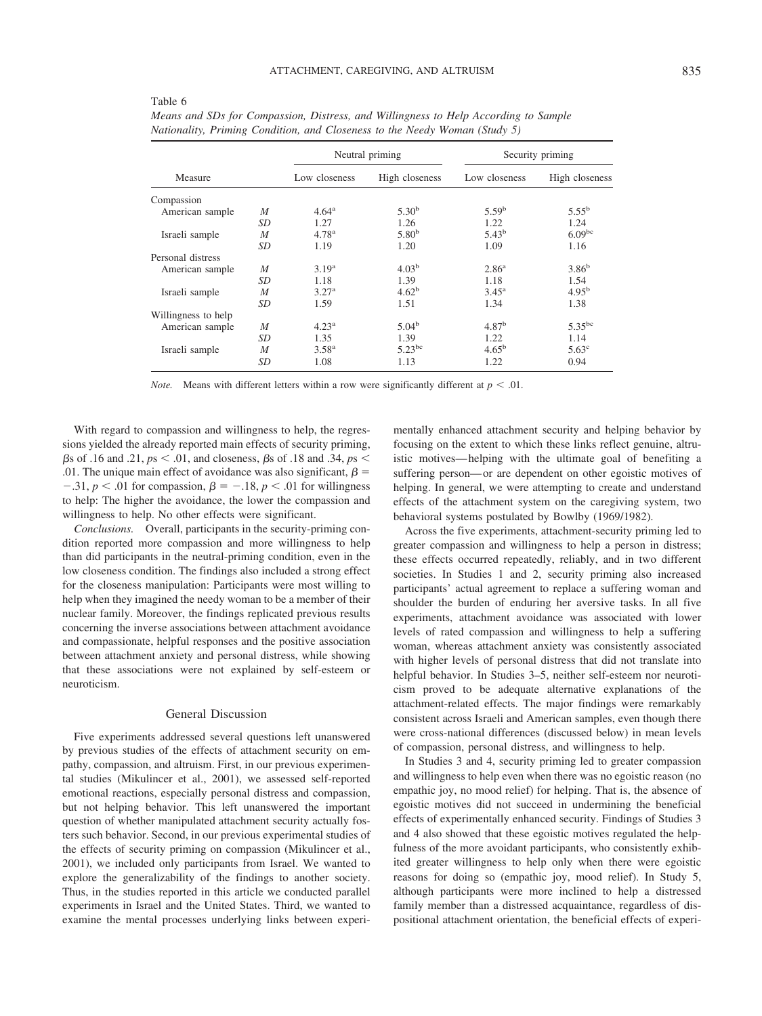|--|--|

| Measure             |                  |                   | Neutral priming   | Security priming  |                |  |  |
|---------------------|------------------|-------------------|-------------------|-------------------|----------------|--|--|
|                     |                  | Low closeness     | High closeness    | Low closeness     | High closeness |  |  |
| Compassion          |                  |                   |                   |                   |                |  |  |
| American sample     | M                | $4.64^{\rm a}$    | $5.30^{b}$        | 5.59 <sup>b</sup> | $5.55^{\rm b}$ |  |  |
|                     | SD               | 1.27              | 1.26              | 1.22              | 1.24           |  |  |
| Israeli sample      | M                | 4.78 <sup>a</sup> | $5.80^{b}$        | $5.43^{b}$        | $6.09^{bc}$    |  |  |
|                     | SD               | 1.19              | 1.20              | 1.09              | 1.16           |  |  |
| Personal distress   |                  |                   |                   |                   |                |  |  |
| American sample     | $\boldsymbol{M}$ | 3.19 <sup>a</sup> | 4.03 <sup>b</sup> | 2.86 <sup>a</sup> | $3.86^{b}$     |  |  |
|                     | SD               | 1.18              | 1.39              | 1.18              | 1.54           |  |  |
| Israeli sample      | M                | 3.27 <sup>a</sup> | 4.62 <sup>b</sup> | $3.45^{\rm a}$    | $4.95^{b}$     |  |  |
|                     | SD               | 1.59              | 1.51              | 1.34              | 1.38           |  |  |
| Willingness to help |                  |                   |                   |                   |                |  |  |
| American sample     | M                | $4.23^{\rm a}$    | 5.04 <sup>b</sup> | 4.87 <sup>b</sup> | $5.35^{bc}$    |  |  |
|                     | SD               | 1.35              | 1.39              | 1.22              | 1.14           |  |  |
| Israeli sample      | $\overline{M}$   | $3.58^{a}$        | $5.23^{bc}$       | $4.65^{\rm b}$    | $5.63^{\circ}$ |  |  |
|                     | SD               | 1.08              | 1.13              | 1.22              | 0.94           |  |  |

*Means and SDs for Compassion, Distress, and Willingness to Help According to Sample Nationality, Priming Condition, and Closeness to the Needy Woman (Study 5)*

*Note.* Means with different letters within a row were significantly different at  $p < .01$ .

With regard to compassion and willingness to help, the regressions yielded the already reported main effects of security priming,  $\beta$ s of .16 and .21,  $p s < .01$ , and closeness,  $\beta s$  of .18 and .34,  $p s <$ .01. The unique main effect of avoidance was also significant,  $\beta =$  $-0.31, p < 0.01$  for compassion,  $\beta = -0.18, p < 0.01$  for willingness to help: The higher the avoidance, the lower the compassion and willingness to help. No other effects were significant.

*Conclusions.* Overall, participants in the security-priming condition reported more compassion and more willingness to help than did participants in the neutral-priming condition, even in the low closeness condition. The findings also included a strong effect for the closeness manipulation: Participants were most willing to help when they imagined the needy woman to be a member of their nuclear family. Moreover, the findings replicated previous results concerning the inverse associations between attachment avoidance and compassionate, helpful responses and the positive association between attachment anxiety and personal distress, while showing that these associations were not explained by self-esteem or neuroticism.

#### General Discussion

Five experiments addressed several questions left unanswered by previous studies of the effects of attachment security on empathy, compassion, and altruism. First, in our previous experimental studies (Mikulincer et al., 2001), we assessed self-reported emotional reactions, especially personal distress and compassion, but not helping behavior. This left unanswered the important question of whether manipulated attachment security actually fosters such behavior. Second, in our previous experimental studies of the effects of security priming on compassion (Mikulincer et al., 2001), we included only participants from Israel. We wanted to explore the generalizability of the findings to another society. Thus, in the studies reported in this article we conducted parallel experiments in Israel and the United States. Third, we wanted to examine the mental processes underlying links between experimentally enhanced attachment security and helping behavior by focusing on the extent to which these links reflect genuine, altruistic motives— helping with the ultimate goal of benefiting a suffering person— or are dependent on other egoistic motives of helping. In general, we were attempting to create and understand effects of the attachment system on the caregiving system, two behavioral systems postulated by Bowlby (1969/1982).

Across the five experiments, attachment-security priming led to greater compassion and willingness to help a person in distress; these effects occurred repeatedly, reliably, and in two different societies. In Studies 1 and 2, security priming also increased participants' actual agreement to replace a suffering woman and shoulder the burden of enduring her aversive tasks. In all five experiments, attachment avoidance was associated with lower levels of rated compassion and willingness to help a suffering woman, whereas attachment anxiety was consistently associated with higher levels of personal distress that did not translate into helpful behavior. In Studies 3–5, neither self-esteem nor neuroticism proved to be adequate alternative explanations of the attachment-related effects. The major findings were remarkably consistent across Israeli and American samples, even though there were cross-national differences (discussed below) in mean levels of compassion, personal distress, and willingness to help.

In Studies 3 and 4, security priming led to greater compassion and willingness to help even when there was no egoistic reason (no empathic joy, no mood relief) for helping. That is, the absence of egoistic motives did not succeed in undermining the beneficial effects of experimentally enhanced security. Findings of Studies 3 and 4 also showed that these egoistic motives regulated the helpfulness of the more avoidant participants, who consistently exhibited greater willingness to help only when there were egoistic reasons for doing so (empathic joy, mood relief). In Study 5, although participants were more inclined to help a distressed family member than a distressed acquaintance, regardless of dispositional attachment orientation, the beneficial effects of experi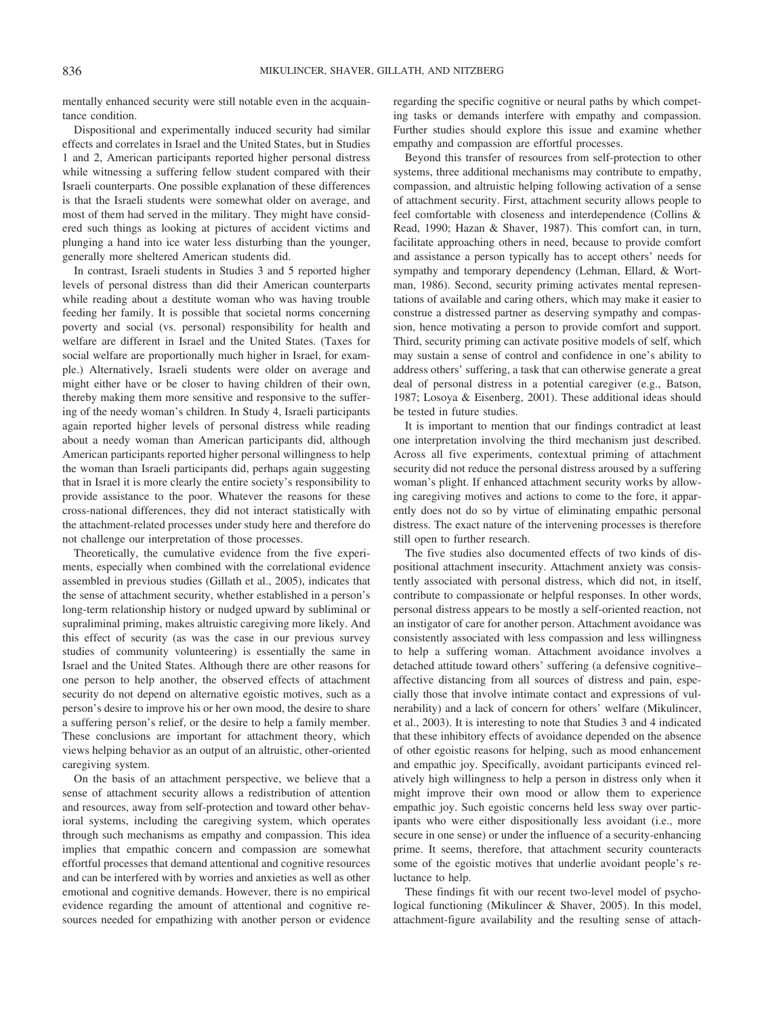mentally enhanced security were still notable even in the acquaintance condition.

Dispositional and experimentally induced security had similar effects and correlates in Israel and the United States, but in Studies 1 and 2, American participants reported higher personal distress while witnessing a suffering fellow student compared with their Israeli counterparts. One possible explanation of these differences is that the Israeli students were somewhat older on average, and most of them had served in the military. They might have considered such things as looking at pictures of accident victims and plunging a hand into ice water less disturbing than the younger, generally more sheltered American students did.

In contrast, Israeli students in Studies 3 and 5 reported higher levels of personal distress than did their American counterparts while reading about a destitute woman who was having trouble feeding her family. It is possible that societal norms concerning poverty and social (vs. personal) responsibility for health and welfare are different in Israel and the United States. (Taxes for social welfare are proportionally much higher in Israel, for example.) Alternatively, Israeli students were older on average and might either have or be closer to having children of their own, thereby making them more sensitive and responsive to the suffering of the needy woman's children. In Study 4, Israeli participants again reported higher levels of personal distress while reading about a needy woman than American participants did, although American participants reported higher personal willingness to help the woman than Israeli participants did, perhaps again suggesting that in Israel it is more clearly the entire society's responsibility to provide assistance to the poor. Whatever the reasons for these cross-national differences, they did not interact statistically with the attachment-related processes under study here and therefore do not challenge our interpretation of those processes.

Theoretically, the cumulative evidence from the five experiments, especially when combined with the correlational evidence assembled in previous studies (Gillath et al., 2005), indicates that the sense of attachment security, whether established in a person's long-term relationship history or nudged upward by subliminal or supraliminal priming, makes altruistic caregiving more likely. And this effect of security (as was the case in our previous survey studies of community volunteering) is essentially the same in Israel and the United States. Although there are other reasons for one person to help another, the observed effects of attachment security do not depend on alternative egoistic motives, such as a person's desire to improve his or her own mood, the desire to share a suffering person's relief, or the desire to help a family member. These conclusions are important for attachment theory, which views helping behavior as an output of an altruistic, other-oriented caregiving system.

On the basis of an attachment perspective, we believe that a sense of attachment security allows a redistribution of attention and resources, away from self-protection and toward other behavioral systems, including the caregiving system, which operates through such mechanisms as empathy and compassion. This idea implies that empathic concern and compassion are somewhat effortful processes that demand attentional and cognitive resources and can be interfered with by worries and anxieties as well as other emotional and cognitive demands. However, there is no empirical evidence regarding the amount of attentional and cognitive resources needed for empathizing with another person or evidence regarding the specific cognitive or neural paths by which competing tasks or demands interfere with empathy and compassion. Further studies should explore this issue and examine whether empathy and compassion are effortful processes.

Beyond this transfer of resources from self-protection to other systems, three additional mechanisms may contribute to empathy, compassion, and altruistic helping following activation of a sense of attachment security. First, attachment security allows people to feel comfortable with closeness and interdependence (Collins & Read, 1990; Hazan & Shaver, 1987). This comfort can, in turn, facilitate approaching others in need, because to provide comfort and assistance a person typically has to accept others' needs for sympathy and temporary dependency (Lehman, Ellard, & Wortman, 1986). Second, security priming activates mental representations of available and caring others, which may make it easier to construe a distressed partner as deserving sympathy and compassion, hence motivating a person to provide comfort and support. Third, security priming can activate positive models of self, which may sustain a sense of control and confidence in one's ability to address others' suffering, a task that can otherwise generate a great deal of personal distress in a potential caregiver (e.g., Batson, 1987; Losoya & Eisenberg, 2001). These additional ideas should be tested in future studies.

It is important to mention that our findings contradict at least one interpretation involving the third mechanism just described. Across all five experiments, contextual priming of attachment security did not reduce the personal distress aroused by a suffering woman's plight. If enhanced attachment security works by allowing caregiving motives and actions to come to the fore, it apparently does not do so by virtue of eliminating empathic personal distress. The exact nature of the intervening processes is therefore still open to further research.

The five studies also documented effects of two kinds of dispositional attachment insecurity. Attachment anxiety was consistently associated with personal distress, which did not, in itself, contribute to compassionate or helpful responses. In other words, personal distress appears to be mostly a self-oriented reaction, not an instigator of care for another person. Attachment avoidance was consistently associated with less compassion and less willingness to help a suffering woman. Attachment avoidance involves a detached attitude toward others' suffering (a defensive cognitive– affective distancing from all sources of distress and pain, especially those that involve intimate contact and expressions of vulnerability) and a lack of concern for others' welfare (Mikulincer, et al., 2003). It is interesting to note that Studies 3 and 4 indicated that these inhibitory effects of avoidance depended on the absence of other egoistic reasons for helping, such as mood enhancement and empathic joy. Specifically, avoidant participants evinced relatively high willingness to help a person in distress only when it might improve their own mood or allow them to experience empathic joy. Such egoistic concerns held less sway over participants who were either dispositionally less avoidant (i.e., more secure in one sense) or under the influence of a security-enhancing prime. It seems, therefore, that attachment security counteracts some of the egoistic motives that underlie avoidant people's reluctance to help.

These findings fit with our recent two-level model of psychological functioning (Mikulincer & Shaver, 2005). In this model, attachment-figure availability and the resulting sense of attach-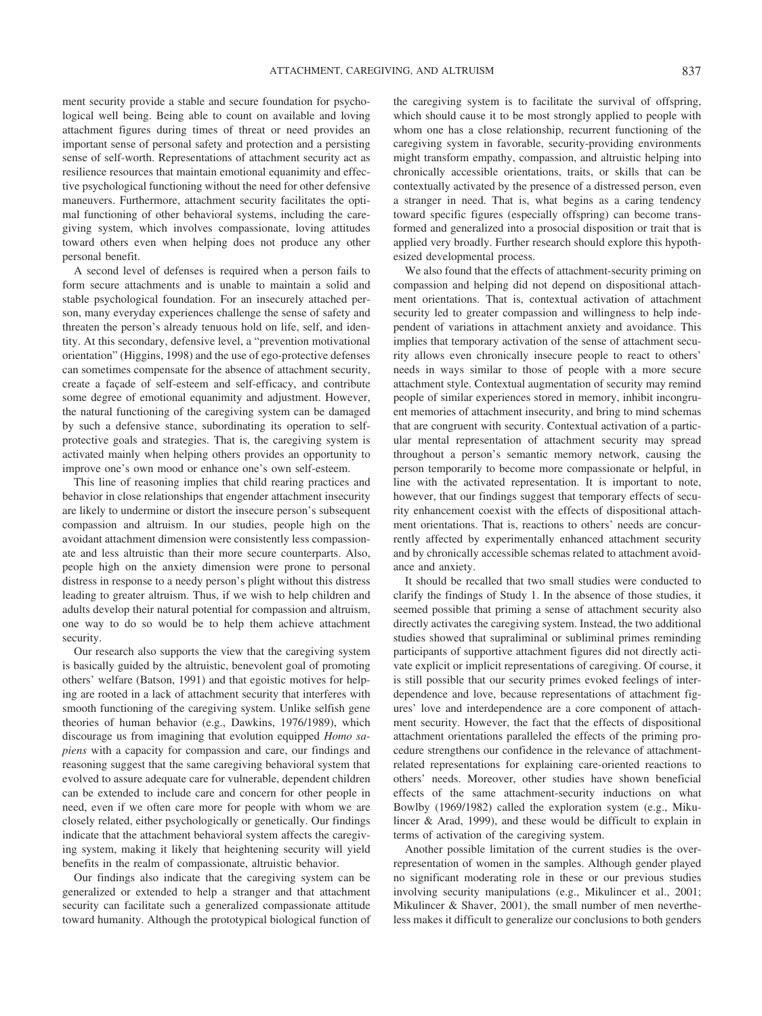ment security provide a stable and secure foundation for psychological well being. Being able to count on available and loving attachment figures during times of threat or need provides an important sense of personal safety and protection and a persisting sense of self-worth. Representations of attachment security act as resilience resources that maintain emotional equanimity and effective psychological functioning without the need for other defensive maneuvers. Furthermore, attachment security facilitates the optimal functioning of other behavioral systems, including the caregiving system, which involves compassionate, loving attitudes toward others even when helping does not produce any other personal benefit.

A second level of defenses is required when a person fails to form secure attachments and is unable to maintain a solid and stable psychological foundation. For an insecurely attached person, many everyday experiences challenge the sense of safety and threaten the person's already tenuous hold on life, self, and identity. At this secondary, defensive level, a "prevention motivational orientation" (Higgins, 1998) and the use of ego-protective defenses can sometimes compensate for the absence of attachment security, create a façade of self-esteem and self-efficacy, and contribute some degree of emotional equanimity and adjustment. However, the natural functioning of the caregiving system can be damaged by such a defensive stance, subordinating its operation to selfprotective goals and strategies. That is, the caregiving system is activated mainly when helping others provides an opportunity to improve one's own mood or enhance one's own self-esteem.

This line of reasoning implies that child rearing practices and behavior in close relationships that engender attachment insecurity are likely to undermine or distort the insecure person's subsequent compassion and altruism. In our studies, people high on the avoidant attachment dimension were consistently less compassionate and less altruistic than their more secure counterparts. Also, people high on the anxiety dimension were prone to personal distress in response to a needy person's plight without this distress leading to greater altruism. Thus, if we wish to help children and adults develop their natural potential for compassion and altruism, one way to do so would be to help them achieve attachment security.

Our research also supports the view that the caregiving system is basically guided by the altruistic, benevolent goal of promoting others' welfare (Batson, 1991) and that egoistic motives for helping are rooted in a lack of attachment security that interferes with smooth functioning of the caregiving system. Unlike selfish gene theories of human behavior (e.g., Dawkins, 1976/1989), which discourage us from imagining that evolution equipped *Homo sapiens* with a capacity for compassion and care, our findings and reasoning suggest that the same caregiving behavioral system that evolved to assure adequate care for vulnerable, dependent children can be extended to include care and concern for other people in need, even if we often care more for people with whom we are closely related, either psychologically or genetically. Our findings indicate that the attachment behavioral system affects the caregiving system, making it likely that heightening security will yield benefits in the realm of compassionate, altruistic behavior.

Our findings also indicate that the caregiving system can be generalized or extended to help a stranger and that attachment security can facilitate such a generalized compassionate attitude toward humanity. Although the prototypical biological function of the caregiving system is to facilitate the survival of offspring, which should cause it to be most strongly applied to people with whom one has a close relationship, recurrent functioning of the caregiving system in favorable, security-providing environments might transform empathy, compassion, and altruistic helping into chronically accessible orientations, traits, or skills that can be contextually activated by the presence of a distressed person, even a stranger in need. That is, what begins as a caring tendency toward specific figures (especially offspring) can become transformed and generalized into a prosocial disposition or trait that is applied very broadly. Further research should explore this hypothesized developmental process.

We also found that the effects of attachment-security priming on compassion and helping did not depend on dispositional attachment orientations. That is, contextual activation of attachment security led to greater compassion and willingness to help independent of variations in attachment anxiety and avoidance. This implies that temporary activation of the sense of attachment security allows even chronically insecure people to react to others' needs in ways similar to those of people with a more secure attachment style. Contextual augmentation of security may remind people of similar experiences stored in memory, inhibit incongruent memories of attachment insecurity, and bring to mind schemas that are congruent with security. Contextual activation of a particular mental representation of attachment security may spread throughout a person's semantic memory network, causing the person temporarily to become more compassionate or helpful, in line with the activated representation. It is important to note, however, that our findings suggest that temporary effects of security enhancement coexist with the effects of dispositional attachment orientations. That is, reactions to others' needs are concurrently affected by experimentally enhanced attachment security and by chronically accessible schemas related to attachment avoidance and anxiety.

It should be recalled that two small studies were conducted to clarify the findings of Study 1. In the absence of those studies, it seemed possible that priming a sense of attachment security also directly activates the caregiving system. Instead, the two additional studies showed that supraliminal or subliminal primes reminding participants of supportive attachment figures did not directly activate explicit or implicit representations of caregiving. Of course, it is still possible that our security primes evoked feelings of interdependence and love, because representations of attachment figures' love and interdependence are a core component of attachment security. However, the fact that the effects of dispositional attachment orientations paralleled the effects of the priming procedure strengthens our confidence in the relevance of attachmentrelated representations for explaining care-oriented reactions to others' needs. Moreover, other studies have shown beneficial effects of the same attachment-security inductions on what Bowlby (1969/1982) called the exploration system (e.g., Mikulincer & Arad, 1999), and these would be difficult to explain in terms of activation of the caregiving system.

Another possible limitation of the current studies is the overrepresentation of women in the samples. Although gender played no significant moderating role in these or our previous studies involving security manipulations (e.g., Mikulincer et al., 2001; Mikulincer & Shaver, 2001), the small number of men nevertheless makes it difficult to generalize our conclusions to both genders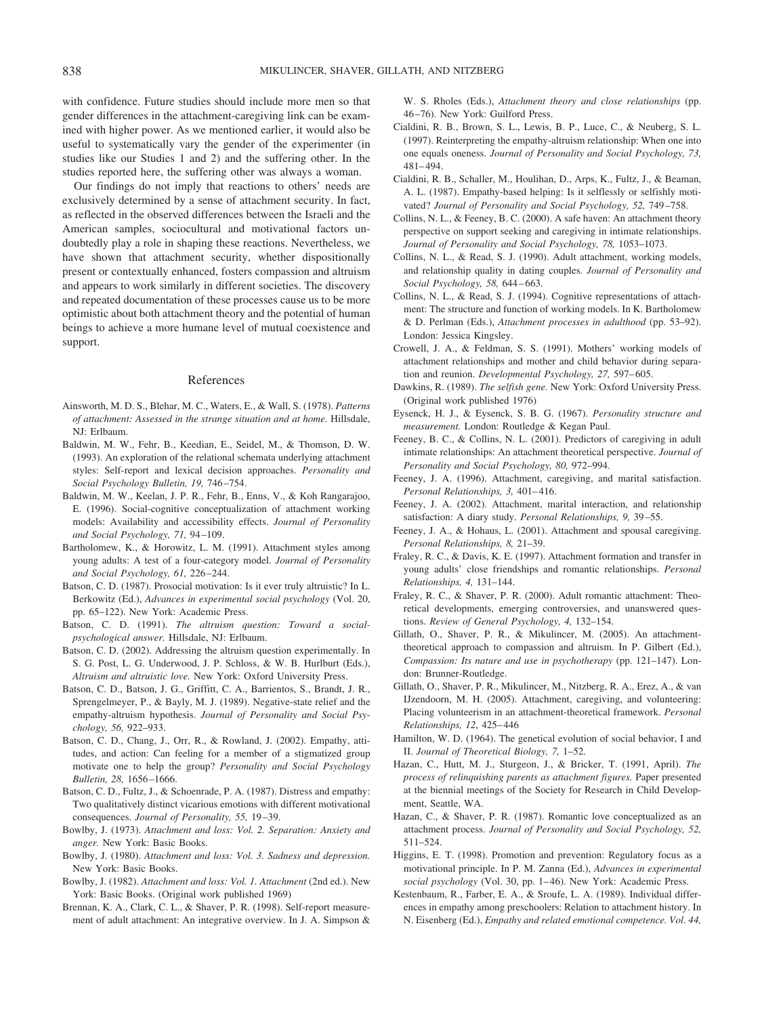with confidence. Future studies should include more men so that gender differences in the attachment-caregiving link can be examined with higher power. As we mentioned earlier, it would also be useful to systematically vary the gender of the experimenter (in studies like our Studies 1 and 2) and the suffering other. In the studies reported here, the suffering other was always a woman.

Our findings do not imply that reactions to others' needs are exclusively determined by a sense of attachment security. In fact, as reflected in the observed differences between the Israeli and the American samples, sociocultural and motivational factors undoubtedly play a role in shaping these reactions. Nevertheless, we have shown that attachment security, whether dispositionally present or contextually enhanced, fosters compassion and altruism and appears to work similarly in different societies. The discovery and repeated documentation of these processes cause us to be more optimistic about both attachment theory and the potential of human beings to achieve a more humane level of mutual coexistence and support.

#### References

- Ainsworth, M. D. S., Blehar, M. C., Waters, E., & Wall, S. (1978). *Patterns of attachment: Assessed in the strange situation and at home.* Hillsdale, NJ: Erlbaum.
- Baldwin, M. W., Fehr, B., Keedian, E., Seidel, M., & Thomson, D. W. (1993). An exploration of the relational schemata underlying attachment styles: Self-report and lexical decision approaches. *Personality and Social Psychology Bulletin, 19,* 746 –754.
- Baldwin, M. W., Keelan, J. P. R., Fehr, B., Enns, V., & Koh Rangarajoo, E. (1996). Social-cognitive conceptualization of attachment working models: Availability and accessibility effects. *Journal of Personality and Social Psychology, 71,* 94 –109.
- Bartholomew, K., & Horowitz, L. M. (1991). Attachment styles among young adults: A test of a four-category model. *Journal of Personality and Social Psychology, 61,* 226 –244.
- Batson, C. D. (1987). Prosocial motivation: Is it ever truly altruistic? In L. Berkowitz (Ed.), *Advances in experimental social psychology* (Vol. 20, pp. 65–122). New York: Academic Press.
- Batson, C. D. (1991). *The altruism question: Toward a socialpsychological answer.* Hillsdale, NJ: Erlbaum.
- Batson, C. D. (2002). Addressing the altruism question experimentally. In S. G. Post, L. G. Underwood, J. P. Schloss, & W. B. Hurlburt (Eds.), *Altruism and altruistic love.* New York: Oxford University Press.
- Batson, C. D., Batson, J. G., Griffitt, C. A., Barrientos, S., Brandt, J. R., Sprengelmeyer, P., & Bayly, M. J. (1989). Negative-state relief and the empathy-altruism hypothesis. *Journal of Personality and Social Psychology, 56,* 922–933.
- Batson, C. D., Chang, J., Orr, R., & Rowland, J. (2002). Empathy, attitudes, and action: Can feeling for a member of a stigmatized group motivate one to help the group? *Personality and Social Psychology Bulletin, 28,* 1656 –1666.
- Batson, C. D., Fultz, J., & Schoenrade, P. A. (1987). Distress and empathy: Two qualitatively distinct vicarious emotions with different motivational consequences. *Journal of Personality, 55,* 19 –39.
- Bowlby, J. (1973). *Attachment and loss: Vol. 2. Separation: Anxiety and anger.* New York: Basic Books.
- Bowlby, J. (1980). *Attachment and loss: Vol. 3. Sadness and depression.* New York: Basic Books.
- Bowlby, J. (1982). *Attachment and loss: Vol. 1. Attachment* (2nd ed.). New York: Basic Books. (Original work published 1969)
- Brennan, K. A., Clark, C. L., & Shaver, P. R. (1998). Self-report measurement of adult attachment: An integrative overview. In J. A. Simpson &

W. S. Rholes (Eds.), *Attachment theory and close relationships* (pp. 46 –76). New York: Guilford Press.

- Cialdini, R. B., Brown, S. L., Lewis, B. P., Luce, C., & Neuberg, S. L. (1997). Reinterpreting the empathy-altruism relationship: When one into one equals oneness. *Journal of Personality and Social Psychology, 73,* 481– 494.
- Cialdini, R. B., Schaller, M., Houlihan, D., Arps, K., Fultz, J., & Beaman, A. L. (1987). Empathy-based helping: Is it selflessly or selfishly motivated? *Journal of Personality and Social Psychology, 52,* 749 –758.
- Collins, N. L., & Feeney, B. C. (2000). A safe haven: An attachment theory perspective on support seeking and caregiving in intimate relationships. *Journal of Personality and Social Psychology, 78,* 1053–1073.
- Collins, N. L., & Read, S. J. (1990). Adult attachment, working models, and relationship quality in dating couples. *Journal of Personality and Social Psychology, 58,* 644 – 663.
- Collins, N. L., & Read, S. J. (1994). Cognitive representations of attachment: The structure and function of working models. In K. Bartholomew & D. Perlman (Eds.), *Attachment processes in adulthood* (pp. 53–92). London: Jessica Kingsley.
- Crowell, J. A., & Feldman, S. S. (1991). Mothers' working models of attachment relationships and mother and child behavior during separation and reunion. *Developmental Psychology, 27,* 597– 605.
- Dawkins, R. (1989). *The selfish gene.* New York: Oxford University Press. (Original work published 1976)
- Eysenck, H. J., & Eysenck, S. B. G. (1967). *Personality structure and measurement.* London: Routledge & Kegan Paul.
- Feeney, B. C., & Collins, N. L. (2001). Predictors of caregiving in adult intimate relationships: An attachment theoretical perspective. *Journal of Personality and Social Psychology, 80,* 972–994.
- Feeney, J. A. (1996). Attachment, caregiving, and marital satisfaction. *Personal Relationships, 3,* 401– 416.
- Feeney, J. A. (2002). Attachment, marital interaction, and relationship satisfaction: A diary study. *Personal Relationships, 9,* 39 –55.
- Feeney, J. A., & Hohaus, L. (2001). Attachment and spousal caregiving. *Personal Relationships, 8,* 21–39.
- Fraley, R. C., & Davis, K. E. (1997). Attachment formation and transfer in young adults' close friendships and romantic relationships. *Personal Relationships, 4,* 131–144.
- Fraley, R. C., & Shaver, P. R. (2000). Adult romantic attachment: Theoretical developments, emerging controversies, and unanswered questions. *Review of General Psychology, 4,* 132–154.
- Gillath, O., Shaver, P. R., & Mikulincer, M. (2005). An attachmenttheoretical approach to compassion and altruism. In P. Gilbert (Ed.), *Compassion: Its nature and use in psychotherapy* (pp. 121–147). London: Brunner-Routledge.
- Gillath, O., Shaver, P. R., Mikulincer, M., Nitzberg, R. A., Erez, A., & van IJzendoorn, M. H. (2005). Attachment, caregiving, and volunteering: Placing volunteerism in an attachment-theoretical framework. *Personal Relationships, 12*, 425– 446
- Hamilton, W. D. (1964). The genetical evolution of social behavior, I and II. *Journal of Theoretical Biology, 7,* 1–52.
- Hazan, C., Hutt, M. J., Sturgeon, J., & Bricker, T. (1991, April). *The process of relinquishing parents as attachment figures.* Paper presented at the biennial meetings of the Society for Research in Child Development, Seattle, WA.
- Hazan, C., & Shaver, P. R. (1987). Romantic love conceptualized as an attachment process. *Journal of Personality and Social Psychology, 52,* 511–524.
- Higgins, E. T. (1998). Promotion and prevention: Regulatory focus as a motivational principle. In P. M. Zanna (Ed.), *Advances in experimental social psychology* (Vol. 30, pp. 1– 46). New York: Academic Press.
- Kestenbaum, R., Farber, E. A., & Sroufe, L. A. (1989). Individual differences in empathy among preschoolers: Relation to attachment history. In N. Eisenberg (Ed.), *Empathy and related emotional competence. Vol. 44,*